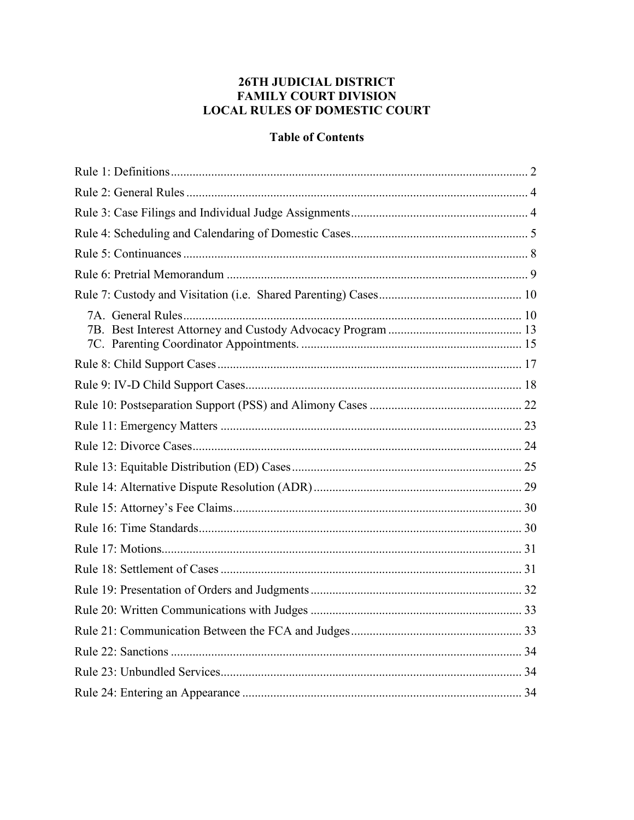# 26TH JUDICIAL DISTRICT **FAMILY COURT DIVISION LOCAL RULES OF DOMESTIC COURT**

# **Table of Contents**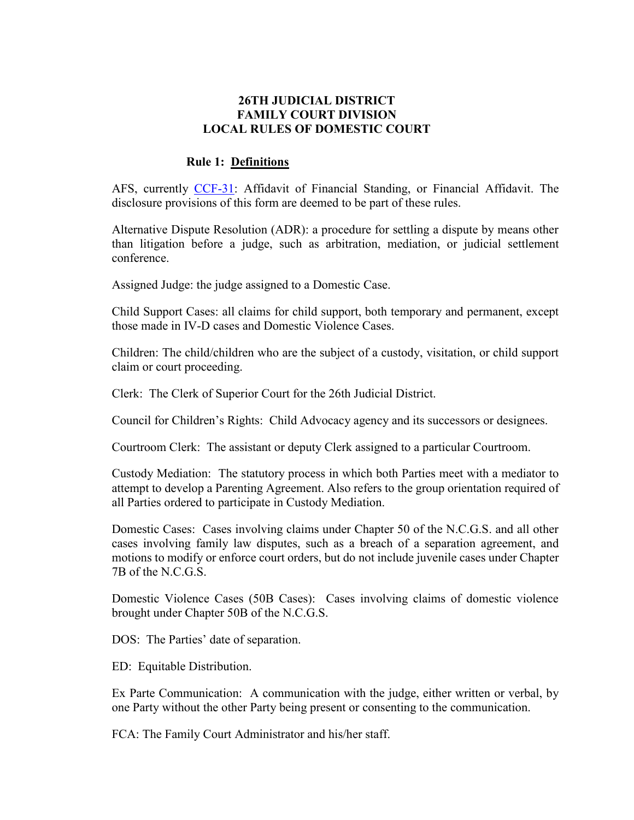#### **26TH JUDICIAL DISTRICT FAMILY COURT DIVISION LOCAL RULES OF DOMESTIC COURT**

#### **Rule 1: Definitions**

AFS, currently [CCF-31:](http://www.nccourts.org/Courts/CRS/Policies/LocalRules/Documents/647.xls) Affidavit of Financial Standing, or Financial Affidavit. The disclosure provisions of this form are deemed to be part of these rules.

Alternative Dispute Resolution (ADR): a procedure for settling a dispute by means other than litigation before a judge, such as arbitration, mediation, or judicial settlement conference.

Assigned Judge: the judge assigned to a Domestic Case.

Child Support Cases: all claims for child support, both temporary and permanent, except those made in IV-D cases and Domestic Violence Cases.

Children: The child/children who are the subject of a custody, visitation, or child support claim or court proceeding.

Clerk: The Clerk of Superior Court for the 26th Judicial District.

Council for Children's Rights: Child Advocacy agency and its successors or designees.

Courtroom Clerk: The assistant or deputy Clerk assigned to a particular Courtroom.

Custody Mediation: The statutory process in which both Parties meet with a mediator to attempt to develop a Parenting Agreement. Also refers to the group orientation required of all Parties ordered to participate in Custody Mediation.

Domestic Cases: Cases involving claims under Chapter 50 of the N.C.G.S. and all other cases involving family law disputes, such as a breach of a separation agreement, and motions to modify or enforce court orders, but do not include juvenile cases under Chapter 7B of the N.C.G.S.

Domestic Violence Cases (50B Cases): Cases involving claims of domestic violence brought under Chapter 50B of the N.C.G.S.

DOS: The Parties' date of separation.

ED: Equitable Distribution.

Ex Parte Communication: A communication with the judge, either written or verbal, by one Party without the other Party being present or consenting to the communication.

FCA: The Family Court Administrator and his/her staff.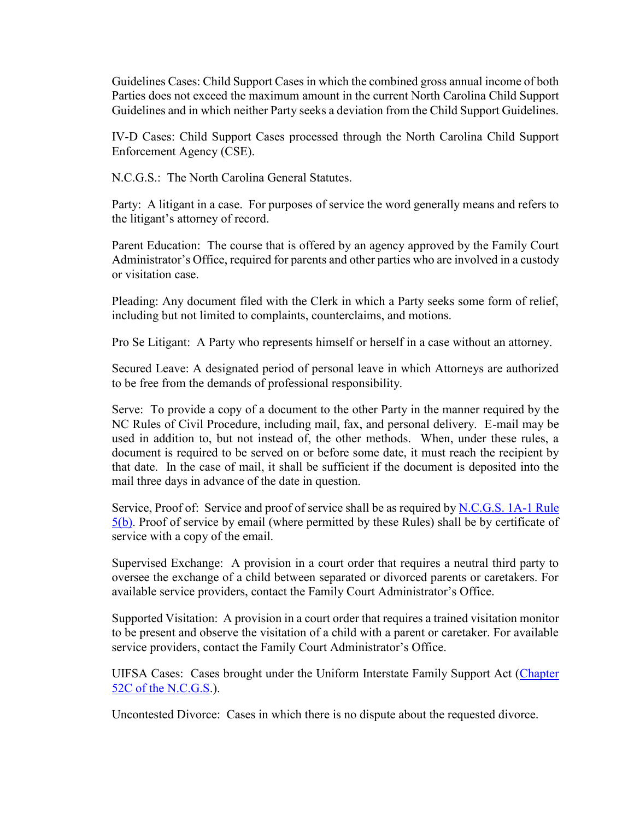Guidelines Cases: Child Support Cases in which the combined gross annual income of both Parties does not exceed the maximum amount in the current North Carolina Child Support Guidelines and in which neither Party seeks a deviation from the Child Support Guidelines.

IV-D Cases: Child Support Cases processed through the North Carolina Child Support Enforcement Agency (CSE).

N.C.G.S.: The North Carolina General Statutes.

Party: A litigant in a case. For purposes of service the word generally means and refers to the litigant's attorney of record.

Parent Education: The course that is offered by an agency approved by the Family Court Administrator's Office, required for parents and other parties who are involved in a custody or visitation case.

Pleading: Any document filed with the Clerk in which a Party seeks some form of relief, including but not limited to complaints, counterclaims, and motions.

Pro Se Litigant: A Party who represents himself or herself in a case without an attorney.

Secured Leave: A designated period of personal leave in which Attorneys are authorized to be free from the demands of professional responsibility.

Serve: To provide a copy of a document to the other Party in the manner required by the NC Rules of Civil Procedure, including mail, fax, and personal delivery. E-mail may be used in addition to, but not instead of, the other methods. When, under these rules, a document is required to be served on or before some date, it must reach the recipient by that date. In the case of mail, it shall be sufficient if the document is deposited into the mail three days in advance of the date in question.

Service, Proof of: Service and proof of service shall be as required by [N.C.G.S. 1A-1 Rule](http://www.ncga.state.nc.us/EnactedLegislation/Statutes/HTML/BySection/Chapter_1A/GS_1A-1,_Rule_5.html)  [5\(b\).](http://www.ncga.state.nc.us/EnactedLegislation/Statutes/HTML/BySection/Chapter_1A/GS_1A-1,_Rule_5.html) Proof of service by email (where permitted by these Rules) shall be by certificate of service with a copy of the email.

Supervised Exchange: A provision in a court order that requires a neutral third party to oversee the exchange of a child between separated or divorced parents or caretakers. For available service providers, contact the Family Court Administrator's Office.

Supported Visitation: A provision in a court order that requires a trained visitation monitor to be present and observe the visitation of a child with a parent or caretaker. For available service providers, contact the Family Court Administrator's Office.

UIFSA Cases: Cases brought under the Uniform Interstate Family Support Act [\(Chapter](http://www.ncga.state.nc.us/gascripts/statutes/statutelookup.pl?statute=52C)  [52C of the N.C.G.S.](http://www.ncga.state.nc.us/gascripts/statutes/statutelookup.pl?statute=52C)).

Uncontested Divorce: Cases in which there is no dispute about the requested divorce.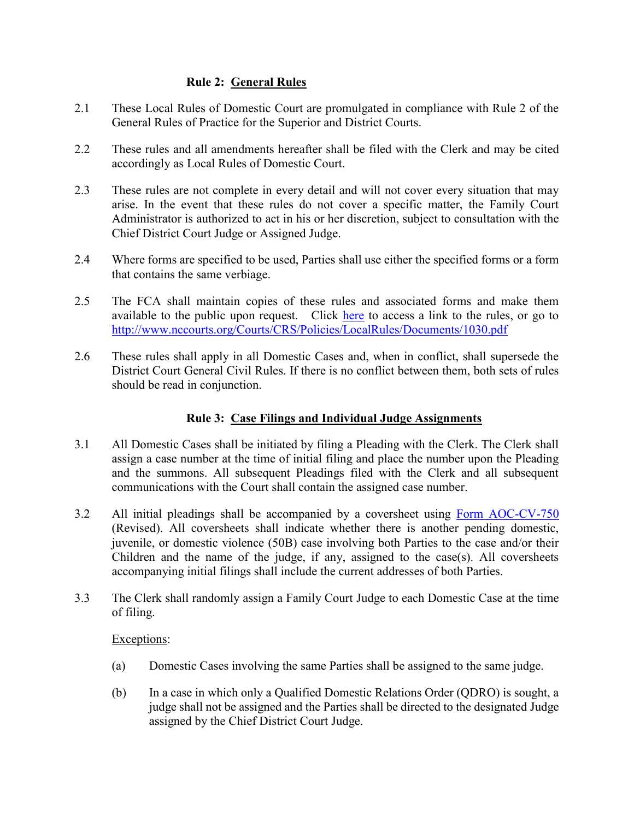## **Rule 2: General Rules**

- 2.1 These Local Rules of Domestic Court are promulgated in compliance with Rule 2 of the General Rules of Practice for the Superior and District Courts.
- 2.2 These rules and all amendments hereafter shall be filed with the Clerk and may be cited accordingly as Local Rules of Domestic Court.
- 2.3 These rules are not complete in every detail and will not cover every situation that may arise. In the event that these rules do not cover a specific matter, the Family Court Administrator is authorized to act in his or her discretion, subject to consultation with the Chief District Court Judge or Assigned Judge.
- 2.4 Where forms are specified to be used, Parties shall use either the specified forms or a form that contains the same verbiage.
- 2.5 The FCA shall maintain copies of these rules and associated forms and make them available to the public upon request. Click [here](http://www.nccourts.org/Courts/CRS/Policies/LocalRules/Documents/1030.pdf) to access a link to the rules, or go to <http://www.nccourts.org/Courts/CRS/Policies/LocalRules/Documents/1030.pdf>
- 2.6 These rules shall apply in all Domestic Cases and, when in conflict, shall supersede the District Court General Civil Rules. If there is no conflict between them, both sets of rules should be read in conjunction.

## **Rule 3: Case Filings and Individual Judge Assignments**

- 3.1 All Domestic Cases shall be initiated by filing a Pleading with the Clerk. The Clerk shall assign a case number at the time of initial filing and place the number upon the Pleading and the summons. All subsequent Pleadings filed with the Clerk and all subsequent communications with the Court shall contain the assigned case number.
- 3.2 All initial pleadings shall be accompanied by a coversheet using [Form AOC-CV-750](http://www.nccourts.org/Forms/Documents/303.pdf) (Revised). All coversheets shall indicate whether there is another pending domestic, juvenile, or domestic violence (50B) case involving both Parties to the case and/or their Children and the name of the judge, if any, assigned to the case(s). All coversheets accompanying initial filings shall include the current addresses of both Parties.
- 3.3 The Clerk shall randomly assign a Family Court Judge to each Domestic Case at the time of filing.

#### Exceptions:

- (a) Domestic Cases involving the same Parties shall be assigned to the same judge.
- (b) In a case in which only a Qualified Domestic Relations Order (QDRO) is sought, a judge shall not be assigned and the Parties shall be directed to the designated Judge assigned by the Chief District Court Judge.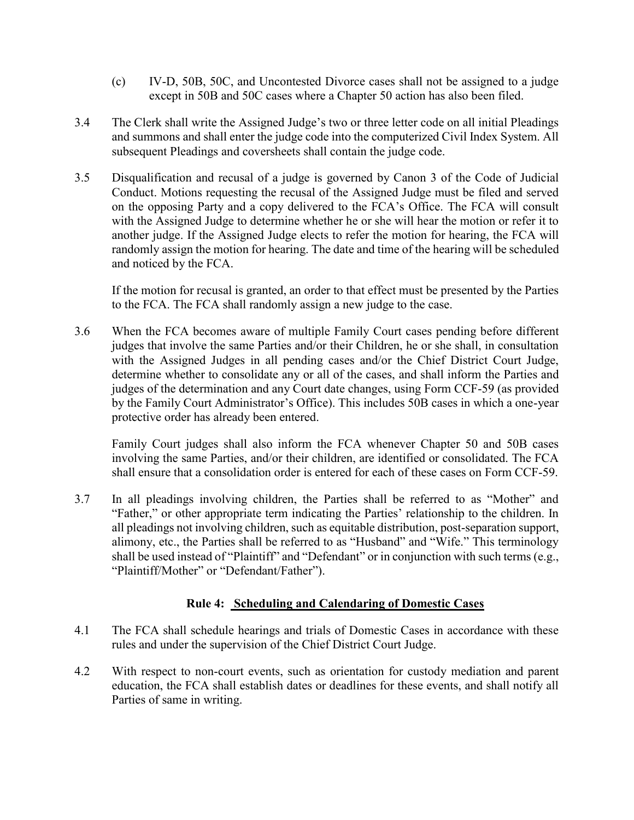- (c) IV-D, 50B, 50C, and Uncontested Divorce cases shall not be assigned to a judge except in 50B and 50C cases where a Chapter 50 action has also been filed.
- 3.4 The Clerk shall write the Assigned Judge's two or three letter code on all initial Pleadings and summons and shall enter the judge code into the computerized Civil Index System. All subsequent Pleadings and coversheets shall contain the judge code.
- 3.5 Disqualification and recusal of a judge is governed by Canon 3 of the Code of Judicial Conduct. Motions requesting the recusal of the Assigned Judge must be filed and served on the opposing Party and a copy delivered to the FCA's Office. The FCA will consult with the Assigned Judge to determine whether he or she will hear the motion or refer it to another judge. If the Assigned Judge elects to refer the motion for hearing, the FCA will randomly assign the motion for hearing. The date and time of the hearing will be scheduled and noticed by the FCA.

If the motion for recusal is granted, an order to that effect must be presented by the Parties to the FCA. The FCA shall randomly assign a new judge to the case.

3.6 When the FCA becomes aware of multiple Family Court cases pending before different judges that involve the same Parties and/or their Children, he or she shall, in consultation with the Assigned Judges in all pending cases and/or the Chief District Court Judge, determine whether to consolidate any or all of the cases, and shall inform the Parties and judges of the determination and any Court date changes, using Form CCF-59 (as provided by the Family Court Administrator's Office). This includes 50B cases in which a one-year protective order has already been entered.

Family Court judges shall also inform the FCA whenever Chapter 50 and 50B cases involving the same Parties, and/or their children, are identified or consolidated. The FCA shall ensure that a consolidation order is entered for each of these cases on Form CCF-59.

3.7 In all pleadings involving children, the Parties shall be referred to as "Mother" and "Father," or other appropriate term indicating the Parties' relationship to the children. In all pleadings not involving children, such as equitable distribution, post-separation support, alimony, etc., the Parties shall be referred to as "Husband" and "Wife." This terminology shall be used instead of "Plaintiff" and "Defendant" or in conjunction with such terms (e.g., "Plaintiff/Mother" or "Defendant/Father").

## **Rule 4: Scheduling and Calendaring of Domestic Cases**

- 4.1 The FCA shall schedule hearings and trials of Domestic Cases in accordance with these rules and under the supervision of the Chief District Court Judge.
- 4.2 With respect to non-court events, such as orientation for custody mediation and parent education, the FCA shall establish dates or deadlines for these events, and shall notify all Parties of same in writing.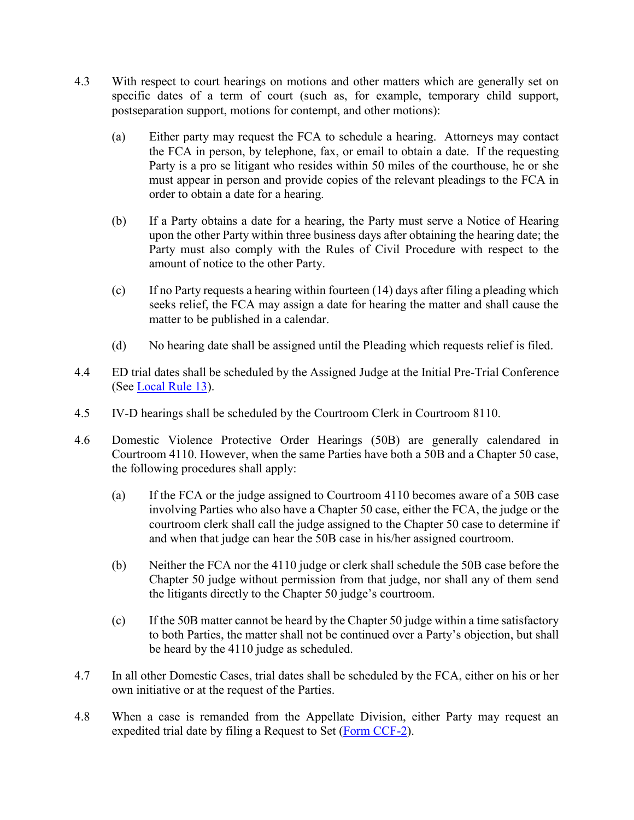- 4.3 With respect to court hearings on motions and other matters which are generally set on specific dates of a term of court (such as, for example, temporary child support, postseparation support, motions for contempt, and other motions):
	- (a) Either party may request the FCA to schedule a hearing. Attorneys may contact the FCA in person, by telephone, fax, or email to obtain a date. If the requesting Party is a pro se litigant who resides within 50 miles of the courthouse, he or she must appear in person and provide copies of the relevant pleadings to the FCA in order to obtain a date for a hearing.
	- (b) If a Party obtains a date for a hearing, the Party must serve a Notice of Hearing upon the other Party within three business days after obtaining the hearing date; the Party must also comply with the Rules of Civil Procedure with respect to the amount of notice to the other Party.
	- (c) If no Party requests a hearing within fourteen (14) days after filing a pleading which seeks relief, the FCA may assign a date for hearing the matter and shall cause the matter to be published in a calendar.
	- (d) No hearing date shall be assigned until the Pleading which requests relief is filed.
- 4.4 ED trial dates shall be scheduled by the Assigned Judge at the Initial Pre-Trial Conference (See [Local Rule 13\)](file:///C:/Users/iaptmt/AppData/Local/Microsoft/Windows/Temporary%20Internet%20Files/Content.Outlook/E54J69DD/2013-06-04%20Local%20Rules%20Final%20(2).docx%23Rule13).
- 4.5 IV-D hearings shall be scheduled by the Courtroom Clerk in Courtroom 8110.
- 4.6 Domestic Violence Protective Order Hearings (50B) are generally calendared in Courtroom 4110. However, when the same Parties have both a 50B and a Chapter 50 case, the following procedures shall apply:
	- (a) If the FCA or the judge assigned to Courtroom 4110 becomes aware of a 50B case involving Parties who also have a Chapter 50 case, either the FCA, the judge or the courtroom clerk shall call the judge assigned to the Chapter 50 case to determine if and when that judge can hear the 50B case in his/her assigned courtroom.
	- (b) Neither the FCA nor the 4110 judge or clerk shall schedule the 50B case before the Chapter 50 judge without permission from that judge, nor shall any of them send the litigants directly to the Chapter 50 judge's courtroom.
	- (c) If the 50B matter cannot be heard by the Chapter 50 judge within a time satisfactory to both Parties, the matter shall not be continued over a Party's objection, but shall be heard by the 4110 judge as scheduled.
- 4.7 In all other Domestic Cases, trial dates shall be scheduled by the FCA, either on his or her own initiative or at the request of the Parties.
- 4.8 When a case is remanded from the Appellate Division, either Party may request an expedited trial date by filing a Request to Set [\(Form CCF-2\)](http://www.nccourts.org/Courts/CRS/Policies/LocalRules/Documents/360.pdf).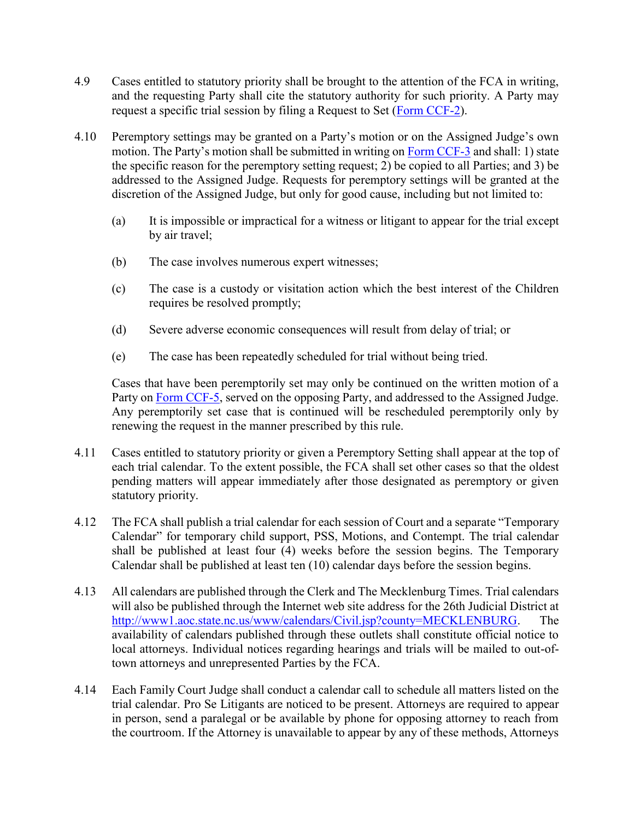- 4.9 Cases entitled to statutory priority shall be brought to the attention of the FCA in writing, and the requesting Party shall cite the statutory authority for such priority. A Party may request a specific trial session by filing a Request to Set [\(Form CCF-2\)](http://www.nccourts.org/Courts/CRS/Policies/LocalRules/Documents/360.pdf).
- 4.10 Peremptory settings may be granted on a Party's motion or on the Assigned Judge's own motion. The Party's motion shall be submitted in writing on [Form CCF-3](http://www.nccourts.org/Courts/CRS/Policies/LocalRules/Documents/361.pdf) and shall: 1) state the specific reason for the peremptory setting request; 2) be copied to all Parties; and 3) be addressed to the Assigned Judge. Requests for peremptory settings will be granted at the discretion of the Assigned Judge, but only for good cause, including but not limited to:
	- (a) It is impossible or impractical for a witness or litigant to appear for the trial except by air travel;
	- (b) The case involves numerous expert witnesses;
	- (c) The case is a custody or visitation action which the best interest of the Children requires be resolved promptly;
	- (d) Severe adverse economic consequences will result from delay of trial; or
	- (e) The case has been repeatedly scheduled for trial without being tried.

Cases that have been peremptorily set may only be continued on the written motion of a Party on [Form CCF-5,](http://www.nccourts.org/Courts/CRS/Policies/LocalRules/Documents/353.pdf) served on the opposing Party, and addressed to the Assigned Judge. Any peremptorily set case that is continued will be rescheduled peremptorily only by renewing the request in the manner prescribed by this rule.

- 4.11 Cases entitled to statutory priority or given a Peremptory Setting shall appear at the top of each trial calendar. To the extent possible, the FCA shall set other cases so that the oldest pending matters will appear immediately after those designated as peremptory or given statutory priority.
- 4.12 The FCA shall publish a trial calendar for each session of Court and a separate "Temporary Calendar" for temporary child support, PSS, Motions, and Contempt. The trial calendar shall be published at least four (4) weeks before the session begins. The Temporary Calendar shall be published at least ten (10) calendar days before the session begins.
- 4.13 All calendars are published through the Clerk and The Mecklenburg Times. Trial calendars will also be published through the Internet web site address for the 26th Judicial District at [http://www1.aoc.state.nc.us/www/calendars/Civil.jsp?county=MECKLENBURG.](http://www1.aoc.state.nc.us/www/calendars/Civil.jsp?county=MECKLENBURG) The availability of calendars published through these outlets shall constitute official notice to local attorneys. Individual notices regarding hearings and trials will be mailed to out-oftown attorneys and unrepresented Parties by the FCA.
- 4.14 Each Family Court Judge shall conduct a calendar call to schedule all matters listed on the trial calendar. Pro Se Litigants are noticed to be present. Attorneys are required to appear in person, send a paralegal or be available by phone for opposing attorney to reach from the courtroom. If the Attorney is unavailable to appear by any of these methods, Attorneys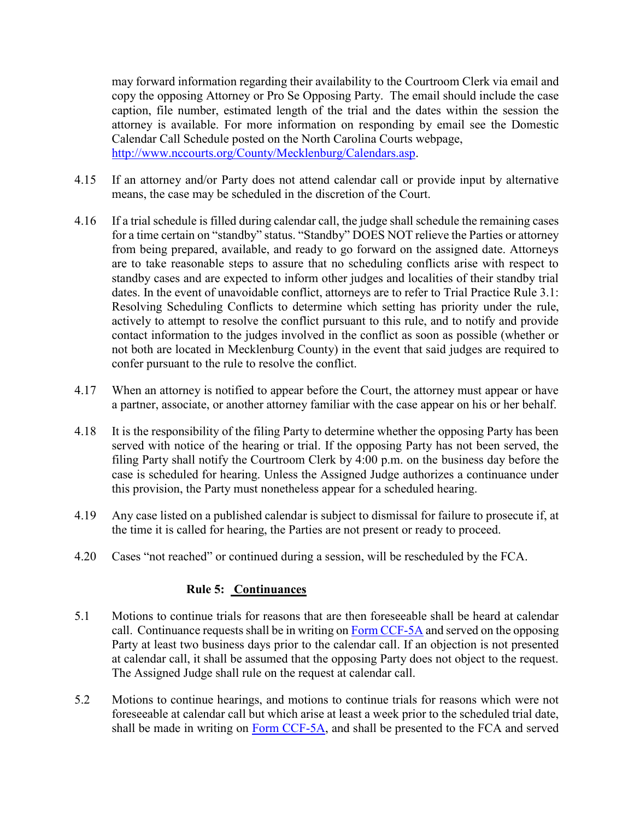may forward information regarding their availability to the Courtroom Clerk via email and copy the opposing Attorney or Pro Se Opposing Party. The email should include the case caption, file number, estimated length of the trial and the dates within the session the attorney is available. For more information on responding by email see the Domestic Calendar Call Schedule posted on the North Carolina Courts webpage, [http://www.nccourts.org/County/Mecklenburg/Calendars.asp.](http://www.nccourts.org/County/Mecklenburg/Calendars.asp)

- 4.15 If an attorney and/or Party does not attend calendar call or provide input by alternative means, the case may be scheduled in the discretion of the Court.
- 4.16 If a trial schedule is filled during calendar call, the judge shall schedule the remaining cases for a time certain on "standby" status. "Standby" DOES NOT relieve the Parties or attorney from being prepared, available, and ready to go forward on the assigned date. Attorneys are to take reasonable steps to assure that no scheduling conflicts arise with respect to standby cases and are expected to inform other judges and localities of their standby trial dates. In the event of unavoidable conflict, attorneys are to refer to Trial Practice Rule 3.1: Resolving Scheduling Conflicts to determine which setting has priority under the rule, actively to attempt to resolve the conflict pursuant to this rule, and to notify and provide contact information to the judges involved in the conflict as soon as possible (whether or not both are located in Mecklenburg County) in the event that said judges are required to confer pursuant to the rule to resolve the conflict.
- 4.17 When an attorney is notified to appear before the Court, the attorney must appear or have a partner, associate, or another attorney familiar with the case appear on his or her behalf.
- 4.18 It is the responsibility of the filing Party to determine whether the opposing Party has been served with notice of the hearing or trial. If the opposing Party has not been served, the filing Party shall notify the Courtroom Clerk by 4:00 p.m. on the business day before the case is scheduled for hearing. Unless the Assigned Judge authorizes a continuance under this provision, the Party must nonetheless appear for a scheduled hearing.
- 4.19 Any case listed on a published calendar is subject to dismissal for failure to prosecute if, at the time it is called for hearing, the Parties are not present or ready to proceed.
- 4.20 Cases "not reached" or continued during a session, will be rescheduled by the FCA.

#### **Rule 5: Continuances**

- 5.1 Motions to continue trials for reasons that are then foreseeable shall be heard at calendar call. Continuance requests shall be in writing on [Form CCF-5A](http://www.nccourts.org/Courts/CRS/Policies/LocalRules/Documents/353.pdf) and served on the opposing Party at least two business days prior to the calendar call. If an objection is not presented at calendar call, it shall be assumed that the opposing Party does not object to the request. The Assigned Judge shall rule on the request at calendar call.
- 5.2 Motions to continue hearings, and motions to continue trials for reasons which were not foreseeable at calendar call but which arise at least a week prior to the scheduled trial date, shall be made in writing on [Form CCF-5A,](http://www.nccourts.org/Courts/CRS/Policies/LocalRules/Documents/353.pdf) and shall be presented to the FCA and served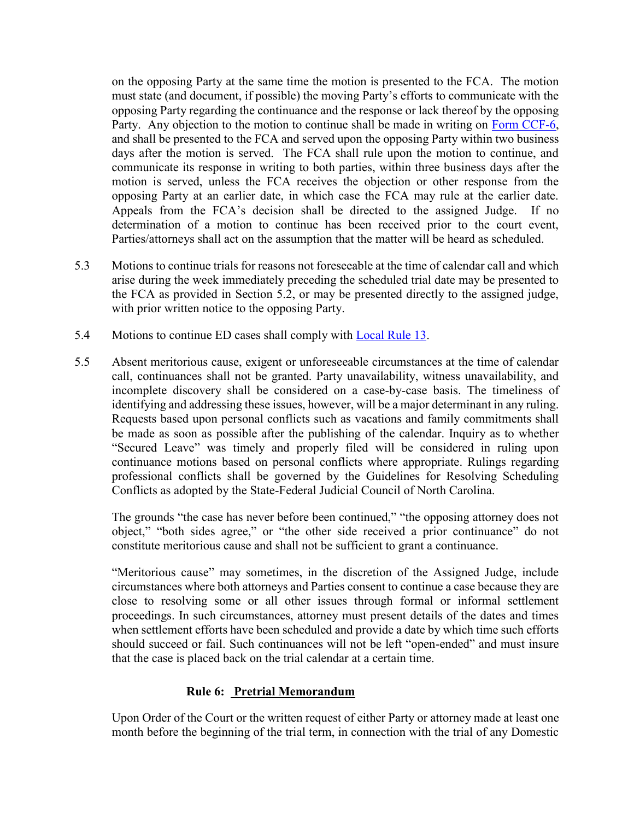on the opposing Party at the same time the motion is presented to the FCA. The motion must state (and document, if possible) the moving Party's efforts to communicate with the opposing Party regarding the continuance and the response or lack thereof by the opposing Party. Any objection to the motion to continue shall be made in writing on [Form CCF-6,](http://www.nccourts.org/Courts/CRS/Policies/LocalRules/Documents/363.pdf) and shall be presented to the FCA and served upon the opposing Party within two business days after the motion is served. The FCA shall rule upon the motion to continue, and communicate its response in writing to both parties, within three business days after the motion is served, unless the FCA receives the objection or other response from the opposing Party at an earlier date, in which case the FCA may rule at the earlier date. Appeals from the FCA's decision shall be directed to the assigned Judge. If no determination of a motion to continue has been received prior to the court event, Parties/attorneys shall act on the assumption that the matter will be heard as scheduled.

- 5.3 Motions to continue trials for reasons not foreseeable at the time of calendar call and which arise during the week immediately preceding the scheduled trial date may be presented to the FCA as provided in Section 5.2, or may be presented directly to the assigned judge, with prior written notice to the opposing Party.
- 5.4 Motions to continue ED cases shall comply with [Local Rule 13.](file:///C:/Users/iaptmt/AppData/Local/Microsoft/Windows/Temporary%20Internet%20Files/Content.Outlook/E54J69DD/2013-06-04%20Local%20Rules%20Final%20(2).docx%23Rule13)
- 5.5 Absent meritorious cause, exigent or unforeseeable circumstances at the time of calendar call, continuances shall not be granted. Party unavailability, witness unavailability, and incomplete discovery shall be considered on a case-by-case basis. The timeliness of identifying and addressing these issues, however, will be a major determinant in any ruling. Requests based upon personal conflicts such as vacations and family commitments shall be made as soon as possible after the publishing of the calendar. Inquiry as to whether "Secured Leave" was timely and properly filed will be considered in ruling upon continuance motions based on personal conflicts where appropriate. Rulings regarding professional conflicts shall be governed by the Guidelines for Resolving Scheduling Conflicts as adopted by the State-Federal Judicial Council of North Carolina.

The grounds "the case has never before been continued," "the opposing attorney does not object," "both sides agree," or "the other side received a prior continuance" do not constitute meritorious cause and shall not be sufficient to grant a continuance.

"Meritorious cause" may sometimes, in the discretion of the Assigned Judge, include circumstances where both attorneys and Parties consent to continue a case because they are close to resolving some or all other issues through formal or informal settlement proceedings. In such circumstances, attorney must present details of the dates and times when settlement efforts have been scheduled and provide a date by which time such efforts should succeed or fail. Such continuances will not be left "open-ended" and must insure that the case is placed back on the trial calendar at a certain time.

## **Rule 6: Pretrial Memorandum**

Upon Order of the Court or the written request of either Party or attorney made at least one month before the beginning of the trial term, in connection with the trial of any Domestic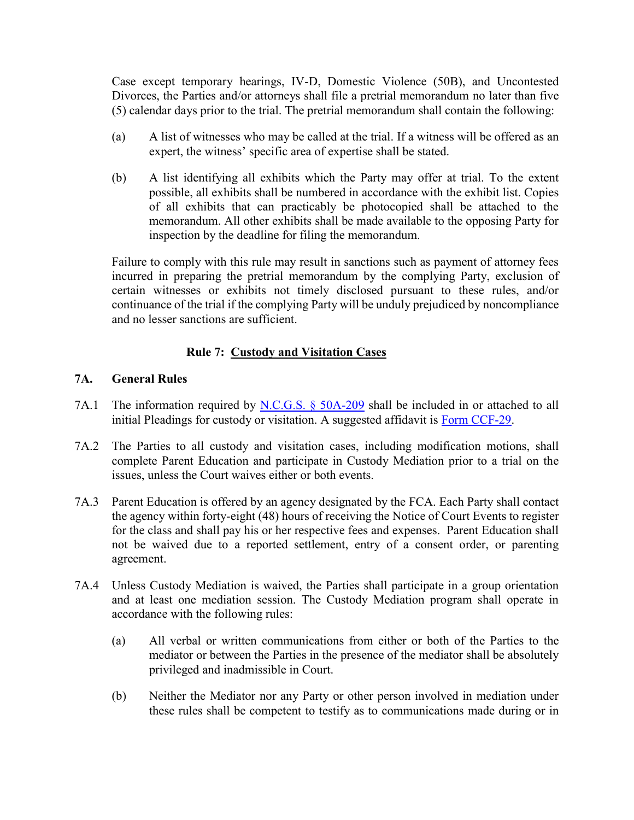Case except temporary hearings, IV-D, Domestic Violence (50B), and Uncontested Divorces, the Parties and/or attorneys shall file a pretrial memorandum no later than five (5) calendar days prior to the trial. The pretrial memorandum shall contain the following:

- (a) A list of witnesses who may be called at the trial. If a witness will be offered as an expert, the witness' specific area of expertise shall be stated.
- (b) A list identifying all exhibits which the Party may offer at trial. To the extent possible, all exhibits shall be numbered in accordance with the exhibit list. Copies of all exhibits that can practicably be photocopied shall be attached to the memorandum. All other exhibits shall be made available to the opposing Party for inspection by the deadline for filing the memorandum.

Failure to comply with this rule may result in sanctions such as payment of attorney fees incurred in preparing the pretrial memorandum by the complying Party, exclusion of certain witnesses or exhibits not timely disclosed pursuant to these rules, and/or continuance of the trial if the complying Party will be unduly prejudiced by noncompliance and no lesser sanctions are sufficient.

## **Rule 7: Custody and Visitation Cases**

## **7A. General Rules**

- 7A.1 The information required by [N.C.G.S. § 50A-209](http://www.ncleg.net/EnactedLegislation/Statutes/HTML/BySection/Chapter_50A/GS_50A-209.html) shall be included in or attached to all initial Pleadings for custody or visitation. A suggested affidavit is [Form CCF-29.](http://www.nccourts.org/Courts/CRS/Policies/LocalRules/Documents/930.pdf)
- 7A.2 The Parties to all custody and visitation cases, including modification motions, shall complete Parent Education and participate in Custody Mediation prior to a trial on the issues, unless the Court waives either or both events.
- 7A.3 Parent Education is offered by an agency designated by the FCA. Each Party shall contact the agency within forty-eight (48) hours of receiving the Notice of Court Events to register for the class and shall pay his or her respective fees and expenses. Parent Education shall not be waived due to a reported settlement, entry of a consent order, or parenting agreement.
- 7A.4 Unless Custody Mediation is waived, the Parties shall participate in a group orientation and at least one mediation session. The Custody Mediation program shall operate in accordance with the following rules:
	- (a) All verbal or written communications from either or both of the Parties to the mediator or between the Parties in the presence of the mediator shall be absolutely privileged and inadmissible in Court.
	- (b) Neither the Mediator nor any Party or other person involved in mediation under these rules shall be competent to testify as to communications made during or in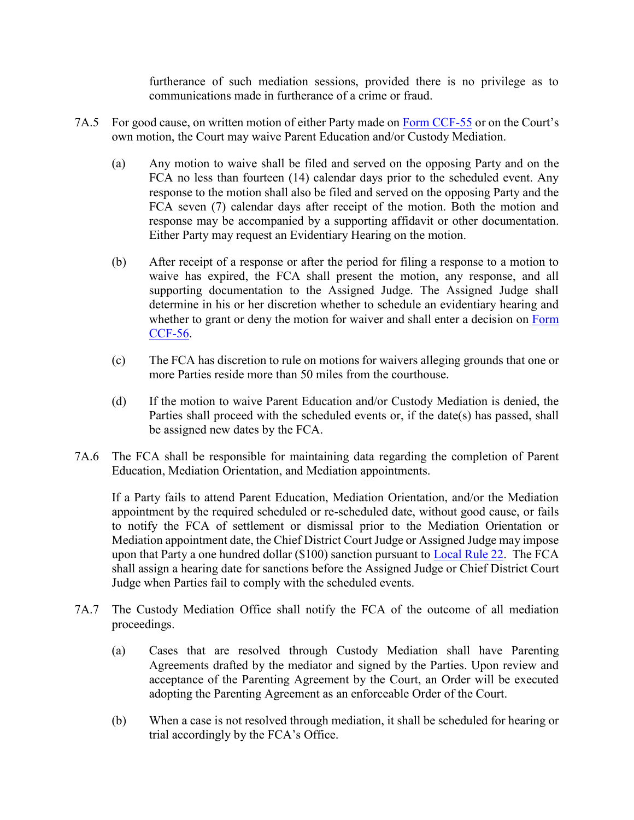furtherance of such mediation sessions, provided there is no privilege as to communications made in furtherance of a crime or fraud.

- 7A.5 For good cause, on written motion of either Party made on [Form CCF-55](http://www.nccourts.org/Courts/CRS/Policies/LocalRules/Documents/465.pdf) or on the Court's own motion, the Court may waive Parent Education and/or Custody Mediation.
	- (a) Any motion to waive shall be filed and served on the opposing Party and on the FCA no less than fourteen (14) calendar days prior to the scheduled event. Any response to the motion shall also be filed and served on the opposing Party and the FCA seven (7) calendar days after receipt of the motion. Both the motion and response may be accompanied by a supporting affidavit or other documentation. Either Party may request an Evidentiary Hearing on the motion.
	- (b) After receipt of a response or after the period for filing a response to a motion to waive has expired, the FCA shall present the motion, any response, and all supporting documentation to the Assigned Judge. The Assigned Judge shall determine in his or her discretion whether to schedule an evidentiary hearing and whether to grant or deny the motion for waiver and shall enter a decision on Form [CCF-56.](http://www.nccourts.org/Courts/CRS/Policies/LocalRules/Documents/960.pdf)
	- (c) The FCA has discretion to rule on motions for waivers alleging grounds that one or more Parties reside more than 50 miles from the courthouse.
	- (d) If the motion to waive Parent Education and/or Custody Mediation is denied, the Parties shall proceed with the scheduled events or, if the date(s) has passed, shall be assigned new dates by the FCA.
- 7A.6 The FCA shall be responsible for maintaining data regarding the completion of Parent Education, Mediation Orientation, and Mediation appointments.

If a Party fails to attend Parent Education, Mediation Orientation, and/or the Mediation appointment by the required scheduled or re-scheduled date, without good cause, or fails to notify the FCA of settlement or dismissal prior to the Mediation Orientation or Mediation appointment date, the Chief District Court Judge or Assigned Judge may impose upon that Party a one hundred dollar (\$100) sanction pursuant to [Local Rule 22.](file:///C:/Users/iaptmt/AppData/Local/Microsoft/Windows/Temporary%20Internet%20Files/Content.Outlook/E54J69DD/2013-06-04%20Local%20Rules%20Final%20(2).docx%23Rule22) The FCA shall assign a hearing date for sanctions before the Assigned Judge or Chief District Court Judge when Parties fail to comply with the scheduled events.

- 7A.7 The Custody Mediation Office shall notify the FCA of the outcome of all mediation proceedings.
	- (a) Cases that are resolved through Custody Mediation shall have Parenting Agreements drafted by the mediator and signed by the Parties. Upon review and acceptance of the Parenting Agreement by the Court, an Order will be executed adopting the Parenting Agreement as an enforceable Order of the Court.
	- (b) When a case is not resolved through mediation, it shall be scheduled for hearing or trial accordingly by the FCA's Office.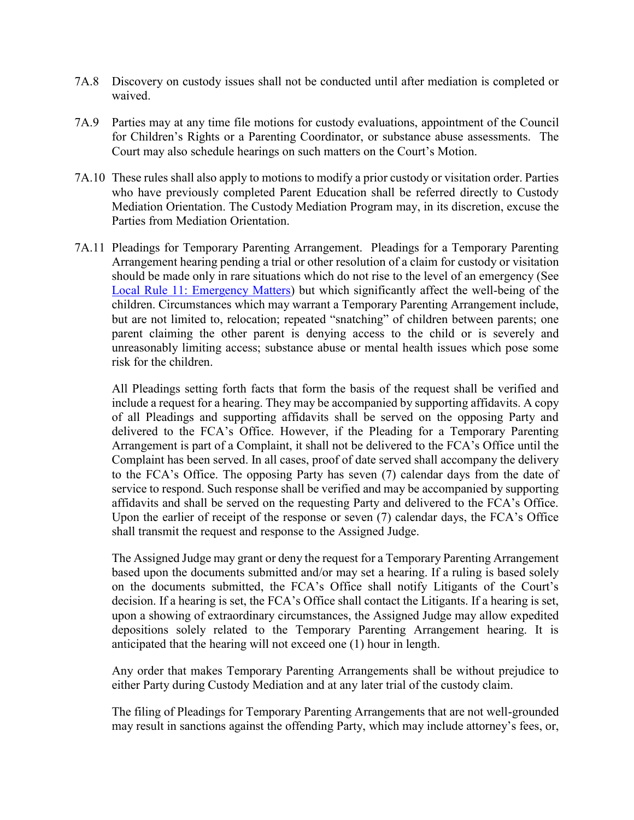- 7A.8 Discovery on custody issues shall not be conducted until after mediation is completed or waived.
- 7A.9 Parties may at any time file motions for custody evaluations, appointment of the Council for Children's Rights or a Parenting Coordinator, or substance abuse assessments. The Court may also schedule hearings on such matters on the Court's Motion.
- 7A.10 These rules shall also apply to motions to modify a prior custody or visitation order. Parties who have previously completed Parent Education shall be referred directly to Custody Mediation Orientation. The Custody Mediation Program may, in its discretion, excuse the Parties from Mediation Orientation.
- 7A.11 Pleadings for Temporary Parenting Arrangement. Pleadings for a Temporary Parenting Arrangement hearing pending a trial or other resolution of a claim for custody or visitation should be made only in rare situations which do not rise to the level of an emergency (See [Local Rule 11: Emergency Matters\)](file:///C:/Users/iaptmt/AppData/Local/Microsoft/Windows/Temporary%20Internet%20Files/Content.Outlook/E54J69DD/2013-06-04%20Local%20Rules%20Final%20(2).docx%23Rule11) but which significantly affect the well-being of the children. Circumstances which may warrant a Temporary Parenting Arrangement include, but are not limited to, relocation; repeated "snatching" of children between parents; one parent claiming the other parent is denying access to the child or is severely and unreasonably limiting access; substance abuse or mental health issues which pose some risk for the children.

All Pleadings setting forth facts that form the basis of the request shall be verified and include a request for a hearing. They may be accompanied by supporting affidavits. A copy of all Pleadings and supporting affidavits shall be served on the opposing Party and delivered to the FCA's Office. However, if the Pleading for a Temporary Parenting Arrangement is part of a Complaint, it shall not be delivered to the FCA's Office until the Complaint has been served. In all cases, proof of date served shall accompany the delivery to the FCA's Office. The opposing Party has seven (7) calendar days from the date of service to respond. Such response shall be verified and may be accompanied by supporting affidavits and shall be served on the requesting Party and delivered to the FCA's Office. Upon the earlier of receipt of the response or seven (7) calendar days, the FCA's Office shall transmit the request and response to the Assigned Judge.

The Assigned Judge may grant or deny the request for a Temporary Parenting Arrangement based upon the documents submitted and/or may set a hearing. If a ruling is based solely on the documents submitted, the FCA's Office shall notify Litigants of the Court's decision. If a hearing is set, the FCA's Office shall contact the Litigants. If a hearing is set, upon a showing of extraordinary circumstances, the Assigned Judge may allow expedited depositions solely related to the Temporary Parenting Arrangement hearing. It is anticipated that the hearing will not exceed one (1) hour in length.

Any order that makes Temporary Parenting Arrangements shall be without prejudice to either Party during Custody Mediation and at any later trial of the custody claim.

The filing of Pleadings for Temporary Parenting Arrangements that are not well-grounded may result in sanctions against the offending Party, which may include attorney's fees, or,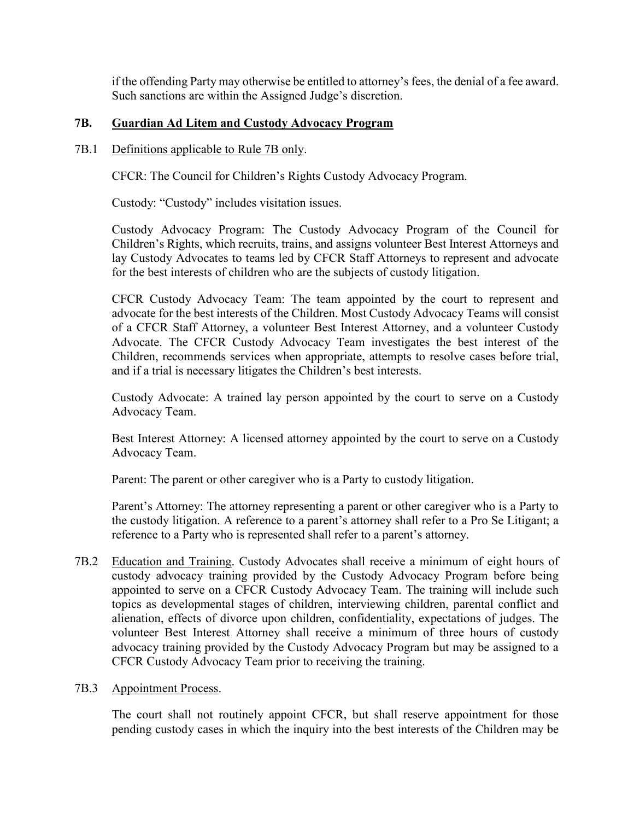if the offending Party may otherwise be entitled to attorney's fees, the denial of a fee award. Such sanctions are within the Assigned Judge's discretion.

# **7B. Guardian Ad Litem and Custody Advocacy Program**

#### 7B.1 Definitions applicable to Rule 7B only.

CFCR: The Council for Children's Rights Custody Advocacy Program.

Custody: "Custody" includes visitation issues.

Custody Advocacy Program: The Custody Advocacy Program of the Council for Children's Rights, which recruits, trains, and assigns volunteer Best Interest Attorneys and lay Custody Advocates to teams led by CFCR Staff Attorneys to represent and advocate for the best interests of children who are the subjects of custody litigation.

CFCR Custody Advocacy Team: The team appointed by the court to represent and advocate for the best interests of the Children. Most Custody Advocacy Teams will consist of a CFCR Staff Attorney, a volunteer Best Interest Attorney, and a volunteer Custody Advocate. The CFCR Custody Advocacy Team investigates the best interest of the Children, recommends services when appropriate, attempts to resolve cases before trial, and if a trial is necessary litigates the Children's best interests.

Custody Advocate: A trained lay person appointed by the court to serve on a Custody Advocacy Team.

Best Interest Attorney: A licensed attorney appointed by the court to serve on a Custody Advocacy Team.

Parent: The parent or other caregiver who is a Party to custody litigation.

Parent's Attorney: The attorney representing a parent or other caregiver who is a Party to the custody litigation. A reference to a parent's attorney shall refer to a Pro Se Litigant; a reference to a Party who is represented shall refer to a parent's attorney.

7B.2 Education and Training. Custody Advocates shall receive a minimum of eight hours of custody advocacy training provided by the Custody Advocacy Program before being appointed to serve on a CFCR Custody Advocacy Team. The training will include such topics as developmental stages of children, interviewing children, parental conflict and alienation, effects of divorce upon children, confidentiality, expectations of judges. The volunteer Best Interest Attorney shall receive a minimum of three hours of custody advocacy training provided by the Custody Advocacy Program but may be assigned to a CFCR Custody Advocacy Team prior to receiving the training.

## 7B.3 Appointment Process.

The court shall not routinely appoint CFCR, but shall reserve appointment for those pending custody cases in which the inquiry into the best interests of the Children may be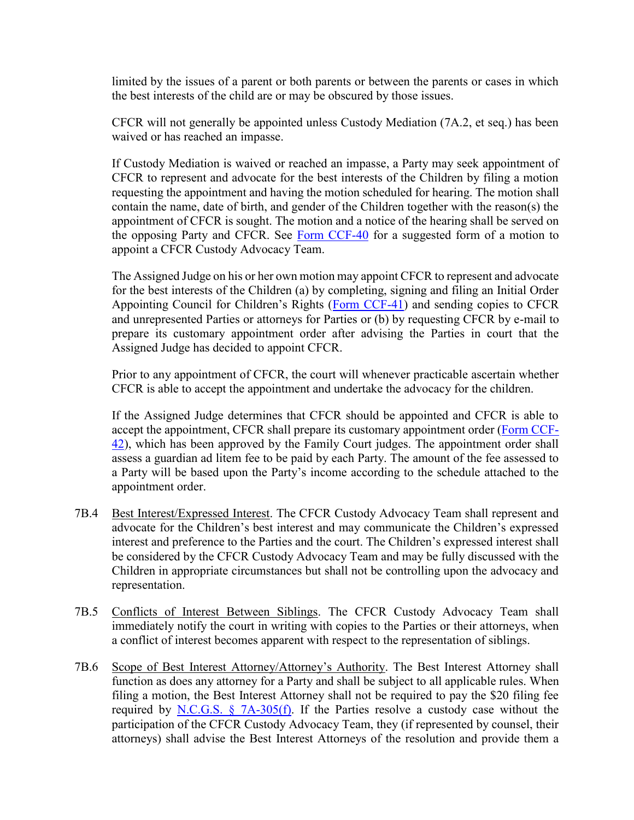limited by the issues of a parent or both parents or between the parents or cases in which the best interests of the child are or may be obscured by those issues.

CFCR will not generally be appointed unless Custody Mediation (7A.2, et seq.) has been waived or has reached an impasse.

If Custody Mediation is waived or reached an impasse, a Party may seek appointment of CFCR to represent and advocate for the best interests of the Children by filing a motion requesting the appointment and having the motion scheduled for hearing. The motion shall contain the name, date of birth, and gender of the Children together with the reason(s) the appointment of CFCR is sought. The motion and a notice of the hearing shall be served on the opposing Party and CFCR. See [Form CCF-40](http://www.nccourts.org/Courts/CRS/Policies/LocalRules/Documents/279.pdf) for a suggested form of a motion to appoint a CFCR Custody Advocacy Team.

The Assigned Judge on his or her own motion may appoint CFCR to represent and advocate for the best interests of the Children (a) by completing, signing and filing an Initial Order Appointing Council for Children's Rights ([Form CCF-41\)](http://www.nccourts.org/Courts/CRS/Policies/LocalRules/Documents/268.pdf) and sending copies to CFCR and unrepresented Parties or attorneys for Parties or (b) by requesting CFCR by e-mail to prepare its customary appointment order after advising the Parties in court that the Assigned Judge has decided to appoint CFCR.

Prior to any appointment of CFCR, the court will whenever practicable ascertain whether CFCR is able to accept the appointment and undertake the advocacy for the children.

If the Assigned Judge determines that CFCR should be appointed and CFCR is able to accept the appointment, CFCR shall prepare its customary appointment order [\(Form CCF-](http://www.nccourts.org/Courts/CRS/Policies/LocalRules/Documents/269.pdf)[42\)](http://www.nccourts.org/Courts/CRS/Policies/LocalRules/Documents/269.pdf), which has been approved by the Family Court judges. The appointment order shall assess a guardian ad litem fee to be paid by each Party. The amount of the fee assessed to a Party will be based upon the Party's income according to the schedule attached to the appointment order.

- 7B.4 Best Interest/Expressed Interest. The CFCR Custody Advocacy Team shall represent and advocate for the Children's best interest and may communicate the Children's expressed interest and preference to the Parties and the court. The Children's expressed interest shall be considered by the CFCR Custody Advocacy Team and may be fully discussed with the Children in appropriate circumstances but shall not be controlling upon the advocacy and representation.
- 7B.5 Conflicts of Interest Between Siblings. The CFCR Custody Advocacy Team shall immediately notify the court in writing with copies to the Parties or their attorneys, when a conflict of interest becomes apparent with respect to the representation of siblings.
- 7B.6 Scope of Best Interest Attorney/Attorney's Authority. The Best Interest Attorney shall function as does any attorney for a Party and shall be subject to all applicable rules. When filing a motion, the Best Interest Attorney shall not be required to pay the \$20 filing fee required by N.C.G.S.  $\S$  7A-305(f). If the Parties resolve a custody case without the participation of the CFCR Custody Advocacy Team, they (if represented by counsel, their attorneys) shall advise the Best Interest Attorneys of the resolution and provide them a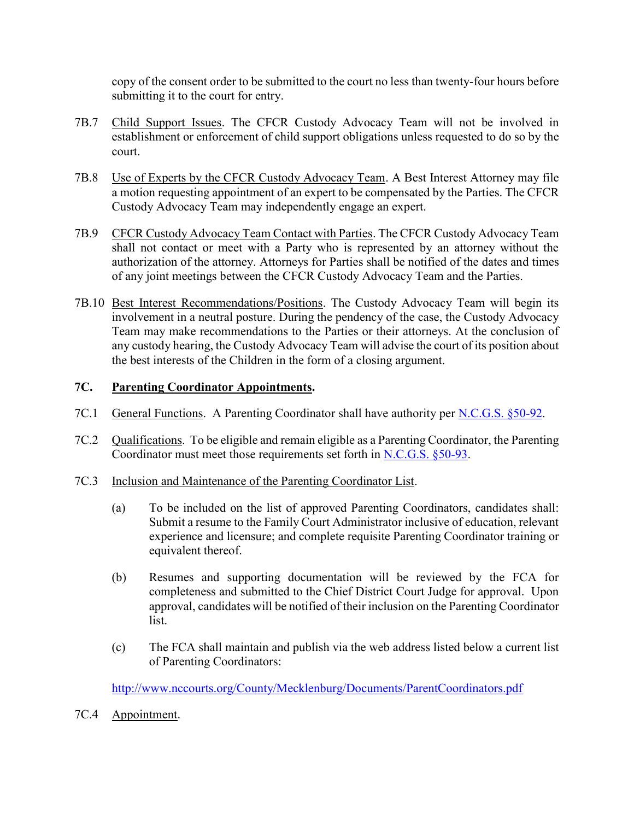copy of the consent order to be submitted to the court no less than twenty-four hours before submitting it to the court for entry.

- 7B.7 Child Support Issues. The CFCR Custody Advocacy Team will not be involved in establishment or enforcement of child support obligations unless requested to do so by the court.
- 7B.8 Use of Experts by the CFCR Custody Advocacy Team. A Best Interest Attorney may file a motion requesting appointment of an expert to be compensated by the Parties. The CFCR Custody Advocacy Team may independently engage an expert.
- 7B.9 CFCR Custody Advocacy Team Contact with Parties. The CFCR Custody Advocacy Team shall not contact or meet with a Party who is represented by an attorney without the authorization of the attorney. Attorneys for Parties shall be notified of the dates and times of any joint meetings between the CFCR Custody Advocacy Team and the Parties.
- 7B.10 Best Interest Recommendations/Positions. The Custody Advocacy Team will begin its involvement in a neutral posture. During the pendency of the case, the Custody Advocacy Team may make recommendations to the Parties or their attorneys. At the conclusion of any custody hearing, the Custody Advocacy Team will advise the court of its position about the best interests of the Children in the form of a closing argument.

## **7C. Parenting Coordinator Appointments.**

- 7C.1 General Functions. A Parenting Coordinator shall have authority per [N.C.G.S. §50-92.](http://www.ncleg.net/EnactedLegislation/Statutes/HTML/BySection/Chapter_50/GS_50-92.html)
- 7C.2 Qualifications. To be eligible and remain eligible as a Parenting Coordinator, the Parenting Coordinator must meet those requirements set forth in [N.C.G.S. §50-93.](http://www.ncleg.net/EnactedLegislation/Statutes/HTML/BySection/Chapter_50/GS_50-93.html)
- 7C.3 Inclusion and Maintenance of the Parenting Coordinator List.
	- (a) To be included on the list of approved Parenting Coordinators, candidates shall: Submit a resume to the Family Court Administrator inclusive of education, relevant experience and licensure; and complete requisite Parenting Coordinator training or equivalent thereof.
	- (b) Resumes and supporting documentation will be reviewed by the FCA for completeness and submitted to the Chief District Court Judge for approval. Upon approval, candidates will be notified of their inclusion on the Parenting Coordinator list.
	- (c) The FCA shall maintain and publish via the web address listed below a current list of Parenting Coordinators:

<http://www.nccourts.org/County/Mecklenburg/Documents/ParentCoordinators.pdf>

7C.4 Appointment.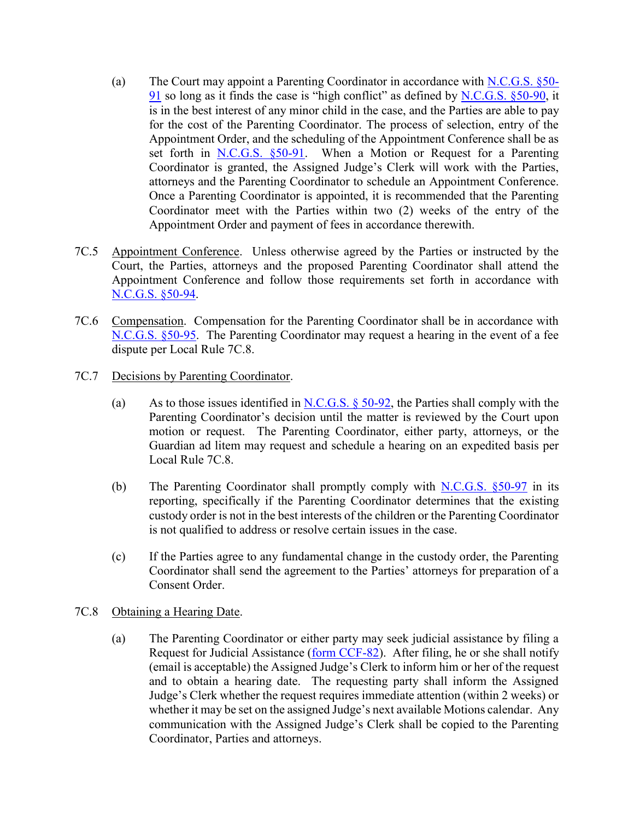- (a) The Court may appoint a Parenting Coordinator in accordance with [N.C.G.S. §50-](http://www.ncleg.net/EnactedLegislation/Statutes/HTML/BySection/Chapter_50/GS_50-91.html) [91](http://www.ncleg.net/EnactedLegislation/Statutes/HTML/BySection/Chapter_50/GS_50-91.html) so long as it finds the case is "high conflict" as defined by [N.C.G.S. §50-90,](http://www.ncleg.net/EnactedLegislation/Statutes/HTML/BySection/Chapter_50/GS_50-90.html) it is in the best interest of any minor child in the case, and the Parties are able to pay for the cost of the Parenting Coordinator. The process of selection, entry of the Appointment Order, and the scheduling of the Appointment Conference shall be as set forth in [N.C.G.S. §50-91.](http://www.ncleg.net/EnactedLegislation/Statutes/HTML/BySection/Chapter_50/GS_50-91.html) When a Motion or Request for a Parenting Coordinator is granted, the Assigned Judge's Clerk will work with the Parties, attorneys and the Parenting Coordinator to schedule an Appointment Conference. Once a Parenting Coordinator is appointed, it is recommended that the Parenting Coordinator meet with the Parties within two (2) weeks of the entry of the Appointment Order and payment of fees in accordance therewith.
- 7C.5 Appointment Conference. Unless otherwise agreed by the Parties or instructed by the Court, the Parties, attorneys and the proposed Parenting Coordinator shall attend the Appointment Conference and follow those requirements set forth in accordance with [N.C.G.S. §50-94.](http://www.ncleg.net/EnactedLegislation/Statutes/HTML/BySection/Chapter_50/GS_50-94.html)
- 7C.6 Compensation. Compensation for the Parenting Coordinator shall be in accordance with [N.C.G.S. §50-95.](http://www.ncleg.net/EnactedLegislation/Statutes/HTML/BySection/Chapter_50/GS_50-95.html) The Parenting Coordinator may request a hearing in the event of a fee dispute per Local Rule 7C.8.
- 7C.7 Decisions by Parenting Coordinator.
	- (a) As to those issues identified in N.C.G.S.  $\S$  50-92, the Parties shall comply with the Parenting Coordinator's decision until the matter is reviewed by the Court upon motion or request. The Parenting Coordinator, either party, attorneys, or the Guardian ad litem may request and schedule a hearing on an expedited basis per Local Rule 7C.8.
	- (b) The Parenting Coordinator shall promptly comply with [N.C.G.S. §50-97](http://www.ncleg.net/EnactedLegislation/Statutes/HTML/BySection/Chapter_50/GS_50-97.html) in its reporting, specifically if the Parenting Coordinator determines that the existing custody order is not in the best interests of the children or the Parenting Coordinator is not qualified to address or resolve certain issues in the case.
	- (c) If the Parties agree to any fundamental change in the custody order, the Parenting Coordinator shall send the agreement to the Parties' attorneys for preparation of a Consent Order.
- 7C.8 Obtaining a Hearing Date.
	- (a) The Parenting Coordinator or either party may seek judicial assistance by filing a Request for Judicial Assistance [\(form CCF-82\)](http://www.nccourts.org/Courts/CRS/Policies/LocalRules/Documents/1292.pdf). After filing, he or she shall notify (email is acceptable) the Assigned Judge's Clerk to inform him or her of the request and to obtain a hearing date. The requesting party shall inform the Assigned Judge's Clerk whether the request requires immediate attention (within 2 weeks) or whether it may be set on the assigned Judge's next available Motions calendar. Any communication with the Assigned Judge's Clerk shall be copied to the Parenting Coordinator, Parties and attorneys.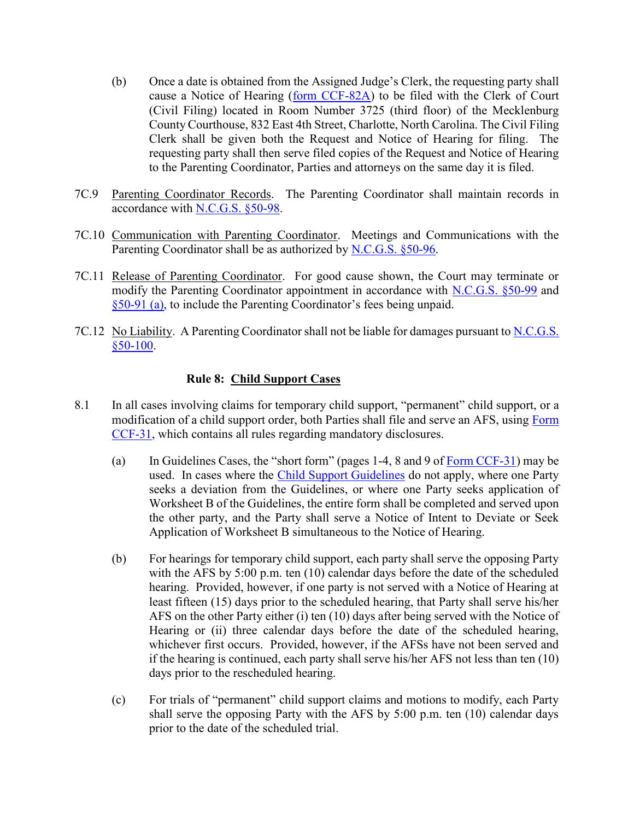- (b) Once a date is obtained from the Assigned Judge's Clerk, the requesting party shall cause a Notice of Hearing [\(form CCF-82A\)](http://www.nccourts.org/Courts/CRS/Policies/LocalRules/Documents/1293.pdf) to be filed with the Clerk of Court (Civil Filing) located in Room Number 3725 (third floor) of the Mecklenburg County Courthouse, 832 East 4th Street, Charlotte, North Carolina. The Civil Filing Clerk shall be given both the Request and Notice of Hearing for filing. The requesting party shall then serve filed copies of the Request and Notice of Hearing to the Parenting Coordinator, Parties and attorneys on the same day it is filed.
- 7C.9 Parenting Coordinator Records. The Parenting Coordinator shall maintain records in accordance with [N.C.G.S. §50-98.](http://www.ncleg.net/EnactedLegislation/Statutes/HTML/BySection/Chapter_50/GS_50-98.html)
- 7C.10 Communication with Parenting Coordinator. Meetings and Communications with the Parenting Coordinator shall be as authorized by [N.C.G.S. §50-96.](http://www.ncleg.net/EnactedLegislation/Statutes/HTML/BySection/Chapter_50/GS_50-96.html)
- 7C.11 Release of Parenting Coordinator. For good cause shown, the Court may terminate or modify the Parenting Coordinator appointment in accordance with [N.C.G.S. §50-99](http://www.ncleg.net/EnactedLegislation/Statutes/HTML/BySection/Chapter_50/GS_50-99.html) and [§50-91 \(a\)](http://www.ncleg.net/EnactedLegislation/Statutes/HTML/BySection/Chapter_50/GS_50-91.html), to include the Parenting Coordinator's fees being unpaid.
- 7C.12 No Liability. A Parenting Coordinator shall not be liable for damages pursuant to [N.C.G.S.](http://www.ncleg.net/EnactedLegislation/Statutes/HTML/BySection/Chapter_50/GS_50-100.html)  [§50-100.](http://www.ncleg.net/EnactedLegislation/Statutes/HTML/BySection/Chapter_50/GS_50-100.html)

#### **Rule 8: Child Support Cases**

- 8.1 In all cases involving claims for temporary child support, "permanent" child support, or a modification of a child support order, both Parties shall file and serve an AFS, using [Form](http://www.nccourts.org/Courts/CRS/Policies/LocalRules/Documents/647.xls)  [CCF-31,](http://www.nccourts.org/Courts/CRS/Policies/LocalRules/Documents/647.xls) which contains all rules regarding mandatory disclosures.
	- (a) In Guidelines Cases, the "short form" (pages 1-4, 8 and 9 of [Form CCF-31\)](http://www.nccourts.org/Courts/CRS/Policies/LocalRules/Documents/647.xls) may be used. In cases where the [Child Support Guidelines](http://www.google.com/url?sa=t&rct=j&q=&esrc=s&source=web&cd=1&cad=rja&ved=0CD0QFjAA&url=http%3A%2F%2Fwww.nccourts.org%2Fforms%2Fdocuments%2F1226.pdf&ei=w5GmUNLzPIb28gTP0oC4DA&usg=AFQjCNHDXpMt29vTsUtsm-nCLvu_dk_7xg) do not apply, where one Party seeks a deviation from the Guidelines, or where one Party seeks application of Worksheet B of the Guidelines, the entire form shall be completed and served upon the other party, and the Party shall serve a Notice of Intent to Deviate or Seek Application of Worksheet B simultaneous to the Notice of Hearing.
	- (b) For hearings for temporary child support, each party shall serve the opposing Party with the AFS by 5:00 p.m. ten (10) calendar days before the date of the scheduled hearing. Provided, however, if one party is not served with a Notice of Hearing at least fifteen (15) days prior to the scheduled hearing, that Party shall serve his/her AFS on the other Party either (i) ten (10) days after being served with the Notice of Hearing or (ii) three calendar days before the date of the scheduled hearing, whichever first occurs. Provided, however, if the AFSs have not been served and if the hearing is continued, each party shall serve his/her AFS not less than ten (10) days prior to the rescheduled hearing.
	- (c) For trials of "permanent" child support claims and motions to modify, each Party shall serve the opposing Party with the AFS by 5:00 p.m. ten (10) calendar days prior to the date of the scheduled trial.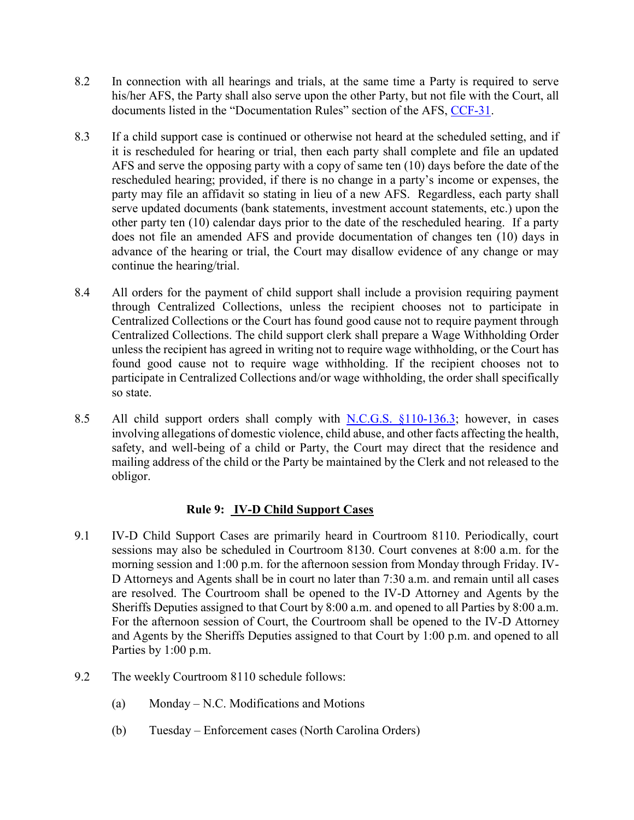- 8.2 In connection with all hearings and trials, at the same time a Party is required to serve his/her AFS, the Party shall also serve upon the other Party, but not file with the Court, all documents listed in the "Documentation Rules" section of the AFS, [CCF-31.](http://www.nccourts.org/Courts/CRS/Policies/LocalRules/Documents/647.xls)
- 8.3 If a child support case is continued or otherwise not heard at the scheduled setting, and if it is rescheduled for hearing or trial, then each party shall complete and file an updated AFS and serve the opposing party with a copy of same ten (10) days before the date of the rescheduled hearing; provided, if there is no change in a party's income or expenses, the party may file an affidavit so stating in lieu of a new AFS. Regardless, each party shall serve updated documents (bank statements, investment account statements, etc.) upon the other party ten (10) calendar days prior to the date of the rescheduled hearing. If a party does not file an amended AFS and provide documentation of changes ten (10) days in advance of the hearing or trial, the Court may disallow evidence of any change or may continue the hearing/trial.
- 8.4 All orders for the payment of child support shall include a provision requiring payment through Centralized Collections, unless the recipient chooses not to participate in Centralized Collections or the Court has found good cause not to require payment through Centralized Collections. The child support clerk shall prepare a Wage Withholding Order unless the recipient has agreed in writing not to require wage withholding, or the Court has found good cause not to require wage withholding. If the recipient chooses not to participate in Centralized Collections and/or wage withholding, the order shall specifically so state.
- 8.5 All child support orders shall comply with [N.C.G.S. §110-136.3;](http://www.ncga.state.nc.us/EnactedLegislation/Statutes/HTML/BySection/Chapter_110/GS_110-136.3.html) however, in cases involving allegations of domestic violence, child abuse, and other facts affecting the health, safety, and well-being of a child or Party, the Court may direct that the residence and mailing address of the child or the Party be maintained by the Clerk and not released to the obligor.

## **Rule 9: IV-D Child Support Cases**

- 9.1 IV-D Child Support Cases are primarily heard in Courtroom 8110. Periodically, court sessions may also be scheduled in Courtroom 8130. Court convenes at 8:00 a.m. for the morning session and 1:00 p.m. for the afternoon session from Monday through Friday. IV-D Attorneys and Agents shall be in court no later than 7:30 a.m. and remain until all cases are resolved. The Courtroom shall be opened to the IV-D Attorney and Agents by the Sheriffs Deputies assigned to that Court by 8:00 a.m. and opened to all Parties by 8:00 a.m. For the afternoon session of Court, the Courtroom shall be opened to the IV-D Attorney and Agents by the Sheriffs Deputies assigned to that Court by 1:00 p.m. and opened to all Parties by 1:00 p.m.
- 9.2 The weekly Courtroom 8110 schedule follows:
	- (a) Monday N.C. Modifications and Motions
	- (b) Tuesday Enforcement cases (North Carolina Orders)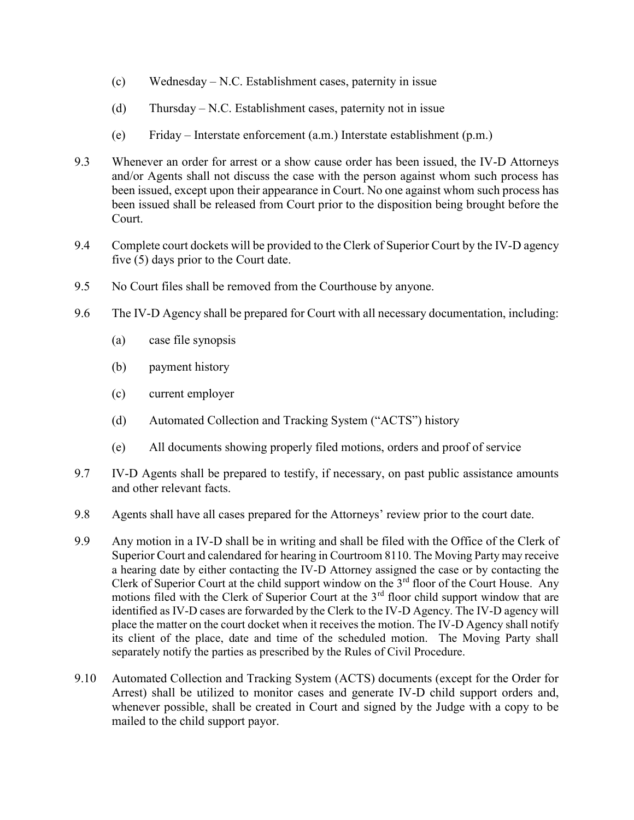- (c) Wednesday N.C. Establishment cases, paternity in issue
- (d) Thursday N.C. Establishment cases, paternity not in issue
- (e) Friday Interstate enforcement (a.m.) Interstate establishment (p.m.)
- 9.3 Whenever an order for arrest or a show cause order has been issued, the IV-D Attorneys and/or Agents shall not discuss the case with the person against whom such process has been issued, except upon their appearance in Court. No one against whom such process has been issued shall be released from Court prior to the disposition being brought before the Court.
- 9.4 Complete court dockets will be provided to the Clerk of Superior Court by the IV-D agency five (5) days prior to the Court date.
- 9.5 No Court files shall be removed from the Courthouse by anyone.
- 9.6 The IV-D Agency shall be prepared for Court with all necessary documentation, including:
	- (a) case file synopsis
	- (b) payment history
	- (c) current employer
	- (d) Automated Collection and Tracking System ("ACTS") history
	- (e) All documents showing properly filed motions, orders and proof of service
- 9.7 IV-D Agents shall be prepared to testify, if necessary, on past public assistance amounts and other relevant facts.
- 9.8 Agents shall have all cases prepared for the Attorneys' review prior to the court date.
- 9.9 Any motion in a IV-D shall be in writing and shall be filed with the Office of the Clerk of Superior Court and calendared for hearing in Courtroom 8110. The Moving Party may receive a hearing date by either contacting the IV-D Attorney assigned the case or by contacting the Clerk of Superior Court at the child support window on the  $3<sup>rd</sup>$  floor of the Court House. Any motions filed with the Clerk of Superior Court at the  $3<sup>rd</sup>$  floor child support window that are identified as IV-D cases are forwarded by the Clerk to the IV-D Agency. The IV-D agency will place the matter on the court docket when it receives the motion. The IV-D Agency shall notify its client of the place, date and time of the scheduled motion. The Moving Party shall separately notify the parties as prescribed by the Rules of Civil Procedure.
- 9.10 Automated Collection and Tracking System (ACTS) documents (except for the Order for Arrest) shall be utilized to monitor cases and generate IV-D child support orders and, whenever possible, shall be created in Court and signed by the Judge with a copy to be mailed to the child support payor.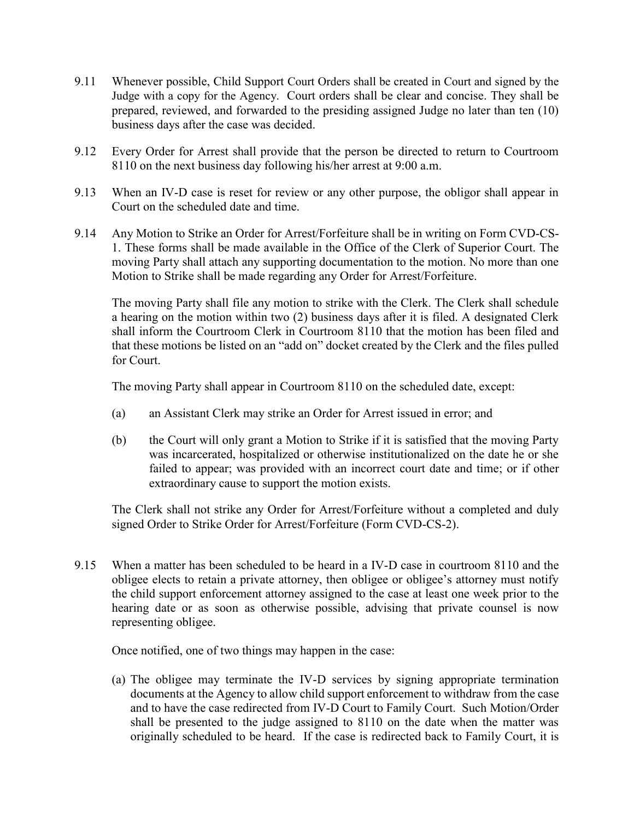- 9.11 Whenever possible, Child Support Court Orders shall be created in Court and signed by the Judge with a copy for the Agency. Court orders shall be clear and concise. They shall be prepared, reviewed, and forwarded to the presiding assigned Judge no later than ten (10) business days after the case was decided.
- 9.12 Every Order for Arrest shall provide that the person be directed to return to Courtroom 8110 on the next business day following his/her arrest at 9:00 a.m.
- 9.13 When an IV-D case is reset for review or any other purpose, the obligor shall appear in Court on the scheduled date and time.
- 9.14 Any Motion to Strike an Order for Arrest/Forfeiture shall be in writing on Form CVD-CS-1. These forms shall be made available in the Office of the Clerk of Superior Court. The moving Party shall attach any supporting documentation to the motion. No more than one Motion to Strike shall be made regarding any Order for Arrest/Forfeiture.

The moving Party shall file any motion to strike with the Clerk. The Clerk shall schedule a hearing on the motion within two (2) business days after it is filed. A designated Clerk shall inform the Courtroom Clerk in Courtroom 8110 that the motion has been filed and that these motions be listed on an "add on" docket created by the Clerk and the files pulled for Court.

The moving Party shall appear in Courtroom 8110 on the scheduled date, except:

- (a) an Assistant Clerk may strike an Order for Arrest issued in error; and
- (b) the Court will only grant a Motion to Strike if it is satisfied that the moving Party was incarcerated, hospitalized or otherwise institutionalized on the date he or she failed to appear; was provided with an incorrect court date and time; or if other extraordinary cause to support the motion exists.

The Clerk shall not strike any Order for Arrest/Forfeiture without a completed and duly signed Order to Strike Order for Arrest/Forfeiture (Form CVD-CS-2).

9.15 When a matter has been scheduled to be heard in a IV-D case in courtroom 8110 and the obligee elects to retain a private attorney, then obligee or obligee's attorney must notify the child support enforcement attorney assigned to the case at least one week prior to the hearing date or as soon as otherwise possible, advising that private counsel is now representing obligee.

Once notified, one of two things may happen in the case:

(a) The obligee may terminate the IV-D services by signing appropriate termination documents at the Agency to allow child support enforcement to withdraw from the case and to have the case redirected from IV-D Court to Family Court. Such Motion/Order shall be presented to the judge assigned to 8110 on the date when the matter was originally scheduled to be heard. If the case is redirected back to Family Court, it is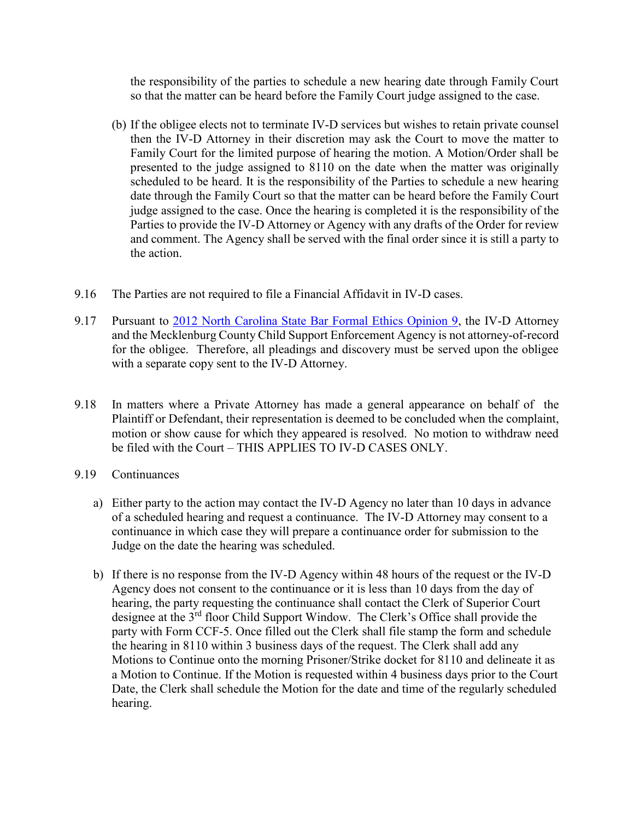the responsibility of the parties to schedule a new hearing date through Family Court so that the matter can be heard before the Family Court judge assigned to the case.

- (b) If the obligee elects not to terminate IV-D services but wishes to retain private counsel then the IV-D Attorney in their discretion may ask the Court to move the matter to Family Court for the limited purpose of hearing the motion. A Motion/Order shall be presented to the judge assigned to 8110 on the date when the matter was originally scheduled to be heard. It is the responsibility of the Parties to schedule a new hearing date through the Family Court so that the matter can be heard before the Family Court judge assigned to the case. Once the hearing is completed it is the responsibility of the Parties to provide the IV-D Attorney or Agency with any drafts of the Order for review and comment. The Agency shall be served with the final order since it is still a party to the action.
- 9.16 The Parties are not required to file a Financial Affidavit in IV-D cases.
- 9.17 Pursuant to [2012 North Carolina State Bar Formal Ethics Opinion 9,](http://www.ncbar.gov/ethics/printopinion.asp?id=868) the IV-D Attorney and the Mecklenburg County Child Support Enforcement Agency is not attorney-of-record for the obligee. Therefore, all pleadings and discovery must be served upon the obligee with a separate copy sent to the IV-D Attorney.
- 9.18 In matters where a Private Attorney has made a general appearance on behalf of the Plaintiff or Defendant, their representation is deemed to be concluded when the complaint, motion or show cause for which they appeared is resolved. No motion to withdraw need be filed with the Court – THIS APPLIES TO IV-D CASES ONLY.
- 9.19 Continuances
	- a) Either party to the action may contact the IV-D Agency no later than 10 days in advance of a scheduled hearing and request a continuance. The IV-D Attorney may consent to a continuance in which case they will prepare a continuance order for submission to the Judge on the date the hearing was scheduled.
	- b) If there is no response from the IV-D Agency within 48 hours of the request or the IV-D Agency does not consent to the continuance or it is less than 10 days from the day of hearing, the party requesting the continuance shall contact the Clerk of Superior Court designee at the 3<sup>rd</sup> floor Child Support Window. The Clerk's Office shall provide the party with Form CCF-5. Once filled out the Clerk shall file stamp the form and schedule the hearing in 8110 within 3 business days of the request. The Clerk shall add any Motions to Continue onto the morning Prisoner/Strike docket for 8110 and delineate it as a Motion to Continue. If the Motion is requested within 4 business days prior to the Court Date, the Clerk shall schedule the Motion for the date and time of the regularly scheduled hearing.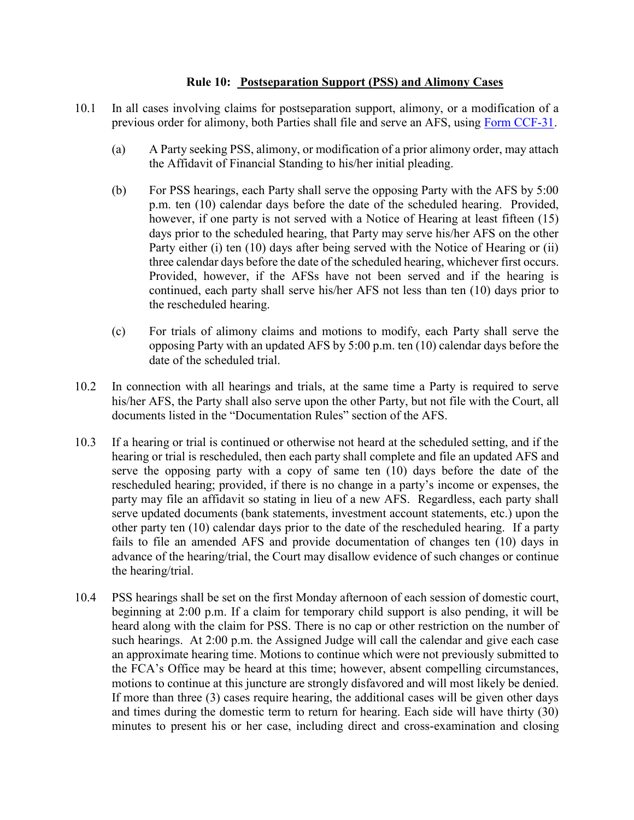#### **Rule 10: Postseparation Support (PSS) and Alimony Cases**

- 10.1 In all cases involving claims for postseparation support, alimony, or a modification of a previous order for alimony, both Parties shall file and serve an AFS, using [Form CCF-31.](http://www.nccourts.org/Courts/CRS/Policies/LocalRules/Documents/647.xls)
	- (a) A Party seeking PSS, alimony, or modification of a prior alimony order, may attach the Affidavit of Financial Standing to his/her initial pleading.
	- (b) For PSS hearings, each Party shall serve the opposing Party with the AFS by 5:00 p.m. ten (10) calendar days before the date of the scheduled hearing. Provided, however, if one party is not served with a Notice of Hearing at least fifteen (15) days prior to the scheduled hearing, that Party may serve his/her AFS on the other Party either (i) ten (10) days after being served with the Notice of Hearing or (ii) three calendar days before the date of the scheduled hearing, whichever first occurs. Provided, however, if the AFSs have not been served and if the hearing is continued, each party shall serve his/her AFS not less than ten (10) days prior to the rescheduled hearing.
	- (c) For trials of alimony claims and motions to modify, each Party shall serve the opposing Party with an updated AFS by 5:00 p.m. ten (10) calendar days before the date of the scheduled trial.
- 10.2 In connection with all hearings and trials, at the same time a Party is required to serve his/her AFS, the Party shall also serve upon the other Party, but not file with the Court, all documents listed in the "Documentation Rules" section of the AFS.
- 10.3 If a hearing or trial is continued or otherwise not heard at the scheduled setting, and if the hearing or trial is rescheduled, then each party shall complete and file an updated AFS and serve the opposing party with a copy of same ten (10) days before the date of the rescheduled hearing; provided, if there is no change in a party's income or expenses, the party may file an affidavit so stating in lieu of a new AFS. Regardless, each party shall serve updated documents (bank statements, investment account statements, etc.) upon the other party ten (10) calendar days prior to the date of the rescheduled hearing. If a party fails to file an amended AFS and provide documentation of changes ten (10) days in advance of the hearing/trial, the Court may disallow evidence of such changes or continue the hearing/trial.
- 10.4 PSS hearings shall be set on the first Monday afternoon of each session of domestic court, beginning at 2:00 p.m. If a claim for temporary child support is also pending, it will be heard along with the claim for PSS. There is no cap or other restriction on the number of such hearings. At 2:00 p.m. the Assigned Judge will call the calendar and give each case an approximate hearing time. Motions to continue which were not previously submitted to the FCA's Office may be heard at this time; however, absent compelling circumstances, motions to continue at this juncture are strongly disfavored and will most likely be denied. If more than three (3) cases require hearing, the additional cases will be given other days and times during the domestic term to return for hearing. Each side will have thirty (30) minutes to present his or her case, including direct and cross-examination and closing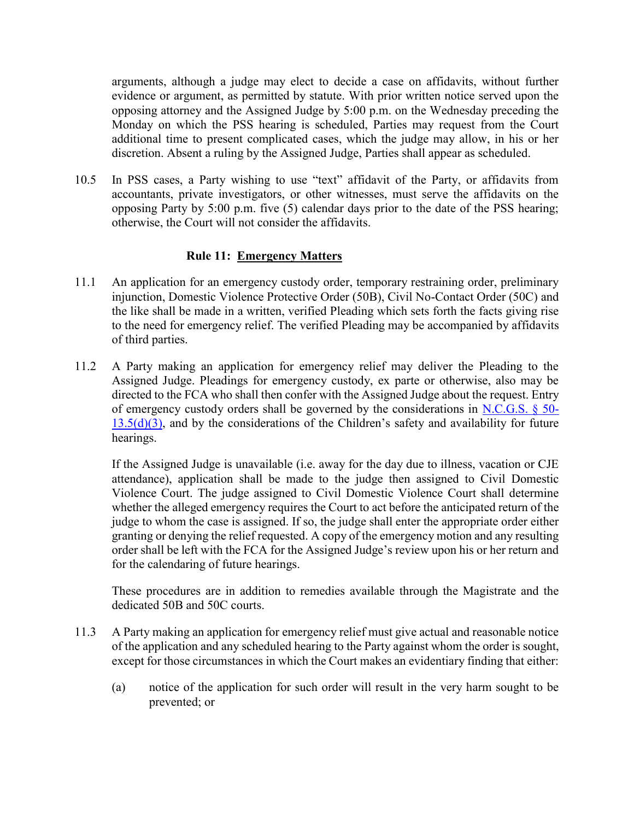arguments, although a judge may elect to decide a case on affidavits, without further evidence or argument, as permitted by statute. With prior written notice served upon the opposing attorney and the Assigned Judge by 5:00 p.m. on the Wednesday preceding the Monday on which the PSS hearing is scheduled, Parties may request from the Court additional time to present complicated cases, which the judge may allow, in his or her discretion. Absent a ruling by the Assigned Judge, Parties shall appear as scheduled.

10.5 In PSS cases, a Party wishing to use "text" affidavit of the Party, or affidavits from accountants, private investigators, or other witnesses, must serve the affidavits on the opposing Party by 5:00 p.m. five (5) calendar days prior to the date of the PSS hearing; otherwise, the Court will not consider the affidavits.

## **Rule 11: Emergency Matters**

- 11.1 An application for an emergency custody order, temporary restraining order, preliminary injunction, Domestic Violence Protective Order (50B), Civil No-Contact Order (50C) and the like shall be made in a written, verified Pleading which sets forth the facts giving rise to the need for emergency relief. The verified Pleading may be accompanied by affidavits of third parties.
- 11.2 A Party making an application for emergency relief may deliver the Pleading to the Assigned Judge. Pleadings for emergency custody, ex parte or otherwise, also may be directed to the FCA who shall then confer with the Assigned Judge about the request. Entry of emergency custody orders shall be governed by the considerations in [N.C.G.S. § 50-](http://www.ncleg.net/EnactedLegislation/Statutes/HTML/BySection/Chapter_50/GS_50-13.5.html)  $13.5(d)(3)$ , and by the considerations of the Children's safety and availability for future hearings.

If the Assigned Judge is unavailable (i.e. away for the day due to illness, vacation or CJE attendance), application shall be made to the judge then assigned to Civil Domestic Violence Court. The judge assigned to Civil Domestic Violence Court shall determine whether the alleged emergency requires the Court to act before the anticipated return of the judge to whom the case is assigned. If so, the judge shall enter the appropriate order either granting or denying the relief requested. A copy of the emergency motion and any resulting order shall be left with the FCA for the Assigned Judge's review upon his or her return and for the calendaring of future hearings.

These procedures are in addition to remedies available through the Magistrate and the dedicated 50B and 50C courts.

- 11.3 A Party making an application for emergency relief must give actual and reasonable notice of the application and any scheduled hearing to the Party against whom the order is sought, except for those circumstances in which the Court makes an evidentiary finding that either:
	- (a) notice of the application for such order will result in the very harm sought to be prevented; or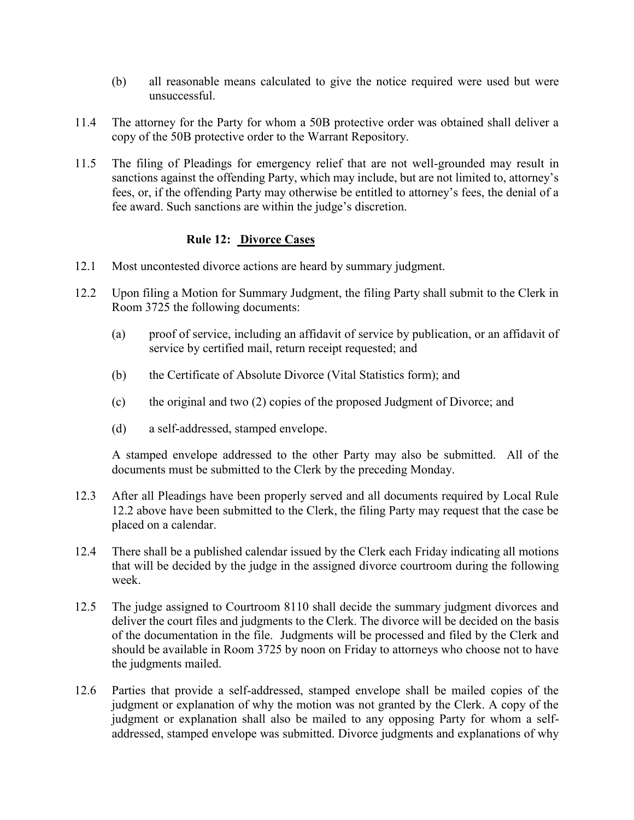- (b) all reasonable means calculated to give the notice required were used but were unsuccessful.
- 11.4 The attorney for the Party for whom a 50B protective order was obtained shall deliver a copy of the 50B protective order to the Warrant Repository.
- 11.5 The filing of Pleadings for emergency relief that are not well-grounded may result in sanctions against the offending Party, which may include, but are not limited to, attorney's fees, or, if the offending Party may otherwise be entitled to attorney's fees, the denial of a fee award. Such sanctions are within the judge's discretion.

## **Rule 12: Divorce Cases**

- 12.1 Most uncontested divorce actions are heard by summary judgment.
- 12.2 Upon filing a Motion for Summary Judgment, the filing Party shall submit to the Clerk in Room 3725 the following documents:
	- (a) proof of service, including an affidavit of service by publication, or an affidavit of service by certified mail, return receipt requested; and
	- (b) the Certificate of Absolute Divorce (Vital Statistics form); and
	- (c) the original and two (2) copies of the proposed Judgment of Divorce; and
	- (d) a self-addressed, stamped envelope.

A stamped envelope addressed to the other Party may also be submitted. All of the documents must be submitted to the Clerk by the preceding Monday.

- 12.3 After all Pleadings have been properly served and all documents required by Local Rule 12.2 above have been submitted to the Clerk, the filing Party may request that the case be placed on a calendar.
- 12.4 There shall be a published calendar issued by the Clerk each Friday indicating all motions that will be decided by the judge in the assigned divorce courtroom during the following week.
- 12.5 The judge assigned to Courtroom 8110 shall decide the summary judgment divorces and deliver the court files and judgments to the Clerk. The divorce will be decided on the basis of the documentation in the file. Judgments will be processed and filed by the Clerk and should be available in Room 3725 by noon on Friday to attorneys who choose not to have the judgments mailed.
- 12.6 Parties that provide a self-addressed, stamped envelope shall be mailed copies of the judgment or explanation of why the motion was not granted by the Clerk. A copy of the judgment or explanation shall also be mailed to any opposing Party for whom a selfaddressed, stamped envelope was submitted. Divorce judgments and explanations of why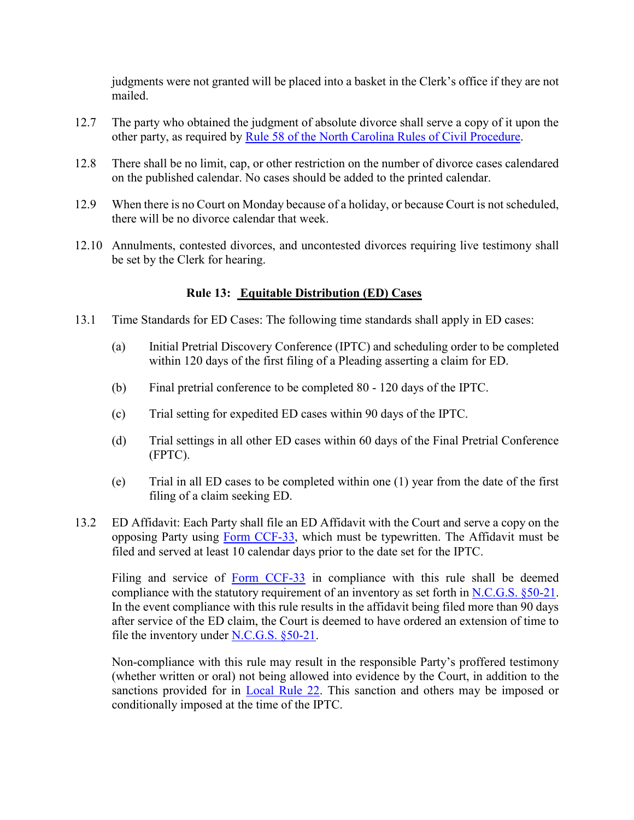judgments were not granted will be placed into a basket in the Clerk's office if they are not mailed.

- 12.7 The party who obtained the judgment of absolute divorce shall serve a copy of it upon the other party, as required by [Rule 58 of the North Carolina Rules of Civil Procedure.](http://www.ncleg.net/EnactedLegislation/Statutes/HTML/BySection/Chapter_1A/GS_1A-1,_Rule_58.html)
- 12.8 There shall be no limit, cap, or other restriction on the number of divorce cases calendared on the published calendar. No cases should be added to the printed calendar.
- 12.9 When there is no Court on Monday because of a holiday, or because Court is not scheduled, there will be no divorce calendar that week.
- 12.10 Annulments, contested divorces, and uncontested divorces requiring live testimony shall be set by the Clerk for hearing.

# **Rule 13: Equitable Distribution (ED) Cases**

- 13.1 Time Standards for ED Cases: The following time standards shall apply in ED cases:
	- (a) Initial Pretrial Discovery Conference (IPTC) and scheduling order to be completed within 120 days of the first filing of a Pleading asserting a claim for ED.
	- (b) Final pretrial conference to be completed 80 120 days of the IPTC.
	- (c) Trial setting for expedited ED cases within 90 days of the IPTC.
	- (d) Trial settings in all other ED cases within 60 days of the Final Pretrial Conference (FPTC).
	- (e) Trial in all ED cases to be completed within one (1) year from the date of the first filing of a claim seeking ED.
- 13.2 ED Affidavit: Each Party shall file an ED Affidavit with the Court and serve a copy on the opposing Party using [Form CCF-33,](http://www.nccourts.org/Courts/CRS/Policies/LocalRules/Documents/274.pdf) which must be typewritten. The Affidavit must be filed and served at least 10 calendar days prior to the date set for the IPTC.

Filing and service of [Form CCF-33](http://www.nccourts.org/Courts/CRS/Policies/LocalRules/Documents/274.pdf) in compliance with this rule shall be deemed compliance with the statutory requirement of an inventory as set forth in [N.C.G.S. §50-21.](http://www.ncleg.net/gascripts/statutes/statutelookup.pl?statute=50-21) In the event compliance with this rule results in the affidavit being filed more than 90 days after service of the ED claim, the Court is deemed to have ordered an extension of time to file the inventory under [N.C.G.S. §50-21.](http://www.ncleg.net/gascripts/statutes/statutelookup.pl?statute=50-21)

Non-compliance with this rule may result in the responsible Party's proffered testimony (whether written or oral) not being allowed into evidence by the Court, in addition to the sanctions provided for in [Local Rule 22.](file:///C:/Users/iaptmt/AppData/Local/Microsoft/Windows/Temporary%20Internet%20Files/Content.Outlook/E54J69DD/2013-06-04%20Local%20Rules%20Final%20(2).docx%23Rule22) This sanction and others may be imposed or conditionally imposed at the time of the IPTC.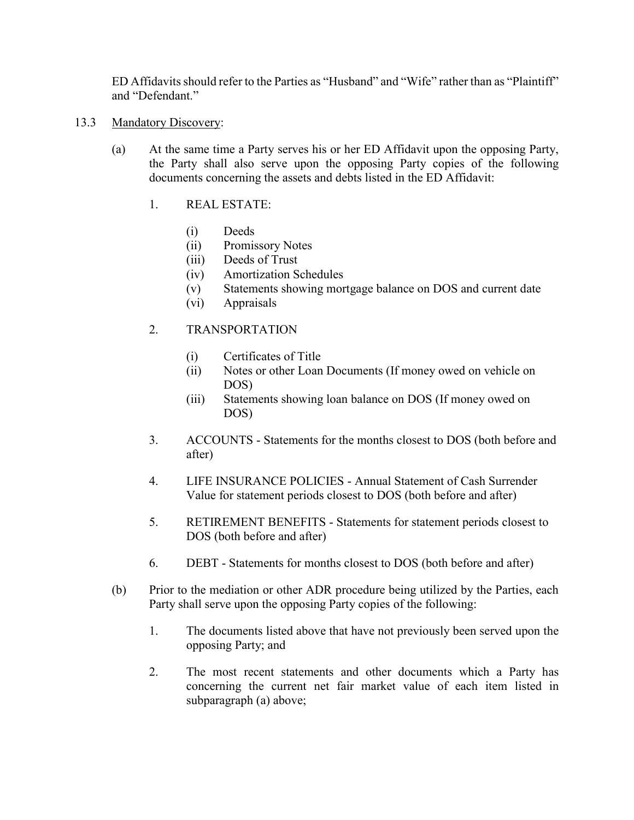ED Affidavits should refer to the Parties as "Husband" and "Wife" rather than as "Plaintiff" and "Defendant"

- 13.3 Mandatory Discovery:
	- (a) At the same time a Party serves his or her ED Affidavit upon the opposing Party, the Party shall also serve upon the opposing Party copies of the following documents concerning the assets and debts listed in the ED Affidavit:
		- 1. REAL ESTATE:
			- (i) Deeds
			- (ii) Promissory Notes
			- (iii) Deeds of Trust
			- (iv) Amortization Schedules
			- (v) Statements showing mortgage balance on DOS and current date
			- (vi) Appraisals

## 2. TRANSPORTATION

- (i) Certificates of Title
- (ii) Notes or other Loan Documents (If money owed on vehicle on DOS)
- (iii) Statements showing loan balance on DOS (If money owed on DOS)
- 3. ACCOUNTS Statements for the months closest to DOS (both before and after)
- 4. LIFE INSURANCE POLICIES Annual Statement of Cash Surrender Value for statement periods closest to DOS (both before and after)
- 5. RETIREMENT BENEFITS Statements for statement periods closest to DOS (both before and after)
- 6. DEBT Statements for months closest to DOS (both before and after)
- (b) Prior to the mediation or other ADR procedure being utilized by the Parties, each Party shall serve upon the opposing Party copies of the following:
	- 1. The documents listed above that have not previously been served upon the opposing Party; and
	- 2. The most recent statements and other documents which a Party has concerning the current net fair market value of each item listed in subparagraph (a) above;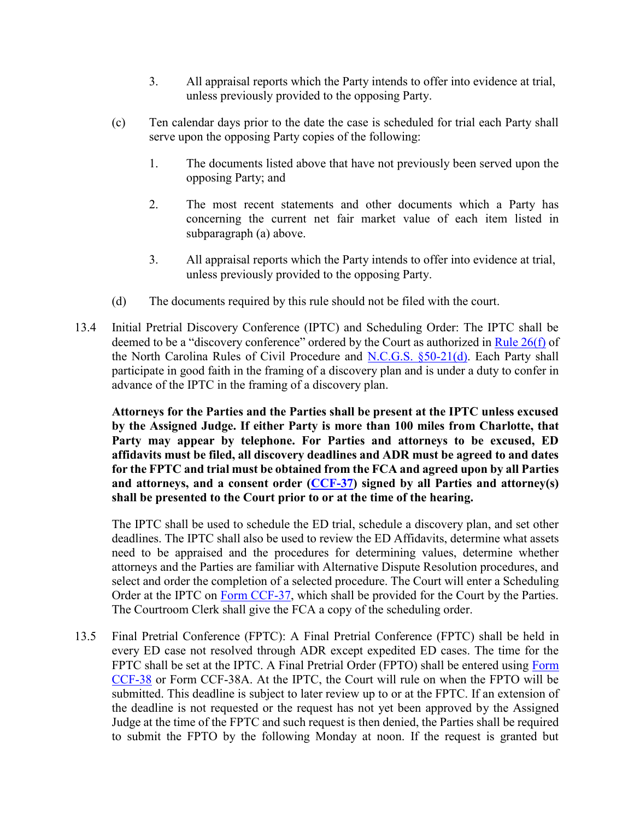- 3. All appraisal reports which the Party intends to offer into evidence at trial, unless previously provided to the opposing Party.
- (c) Ten calendar days prior to the date the case is scheduled for trial each Party shall serve upon the opposing Party copies of the following:
	- 1. The documents listed above that have not previously been served upon the opposing Party; and
	- 2. The most recent statements and other documents which a Party has concerning the current net fair market value of each item listed in subparagraph (a) above.
	- 3. All appraisal reports which the Party intends to offer into evidence at trial, unless previously provided to the opposing Party.
- (d) The documents required by this rule should not be filed with the court.
- 13.4 Initial Pretrial Discovery Conference (IPTC) and Scheduling Order: The IPTC shall be deemed to be a "discovery conference" ordered by the Court as authorized in [Rule 26\(f\)](http://www.ncga.state.nc.us/EnactedLegislation/Statutes/HTML/BySection/Chapter_1A/GS_1A-1,_Rule_26.html) of the North Carolina Rules of Civil Procedure and [N.C.G.S. §50-21\(d\).](http://www.ncleg.net/gascripts/statutes/statutelookup.pl?statute=50-21) Each Party shall participate in good faith in the framing of a discovery plan and is under a duty to confer in advance of the IPTC in the framing of a discovery plan.

**Attorneys for the Parties and the Parties shall be present at the IPTC unless excused by the Assigned Judge. If either Party is more than 100 miles from Charlotte, that Party may appear by telephone. For Parties and attorneys to be excused, ED affidavits must be filed, all discovery deadlines and ADR must be agreed to and dates for the FPTC and trial must be obtained from the FCA and agreed upon by all Parties and attorneys, and a consent order [\(CCF-37\)](http://www.nccourts.org/Courts/CRS/Policies/LocalRules/Documents/277.pdf) signed by all Parties and attorney(s) shall be presented to the Court prior to or at the time of the hearing.**

The IPTC shall be used to schedule the ED trial, schedule a discovery plan, and set other deadlines. The IPTC shall also be used to review the ED Affidavits, determine what assets need to be appraised and the procedures for determining values, determine whether attorneys and the Parties are familiar with Alternative Dispute Resolution procedures, and select and order the completion of a selected procedure. The Court will enter a Scheduling Order at the IPTC on [Form CCF-37,](http://www.nccourts.org/Courts/CRS/Policies/LocalRules/Documents/277.pdf) which shall be provided for the Court by the Parties. The Courtroom Clerk shall give the FCA a copy of the scheduling order.

13.5 Final Pretrial Conference (FPTC): A Final Pretrial Conference (FPTC) shall be held in every ED case not resolved through ADR except expedited ED cases. The time for the FPTC shall be set at the IPTC. A Final Pretrial Order (FPTO) shall be entered using Form [CCF-38](http://www.nccourts.org/Courts/CRS/Policies/LocalRules/Documents/374.pdf) or Form CCF-38A. At the IPTC, the Court will rule on when the FPTO will be submitted. This deadline is subject to later review up to or at the FPTC. If an extension of the deadline is not requested or the request has not yet been approved by the Assigned Judge at the time of the FPTC and such request is then denied, the Parties shall be required to submit the FPTO by the following Monday at noon. If the request is granted but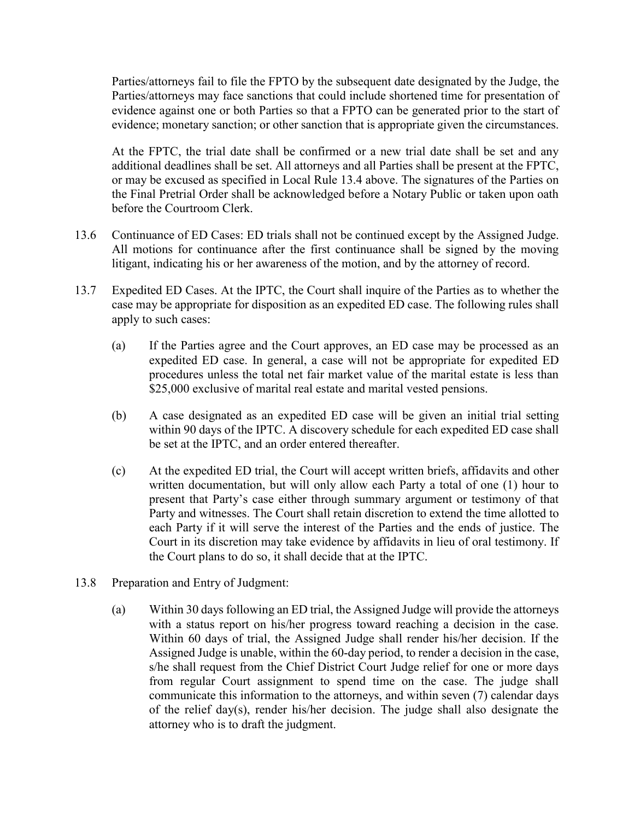Parties/attorneys fail to file the FPTO by the subsequent date designated by the Judge, the Parties/attorneys may face sanctions that could include shortened time for presentation of evidence against one or both Parties so that a FPTO can be generated prior to the start of evidence; monetary sanction; or other sanction that is appropriate given the circumstances.

At the FPTC, the trial date shall be confirmed or a new trial date shall be set and any additional deadlines shall be set. All attorneys and all Parties shall be present at the FPTC, or may be excused as specified in Local Rule 13.4 above. The signatures of the Parties on the Final Pretrial Order shall be acknowledged before a Notary Public or taken upon oath before the Courtroom Clerk.

- 13.6 Continuance of ED Cases: ED trials shall not be continued except by the Assigned Judge. All motions for continuance after the first continuance shall be signed by the moving litigant, indicating his or her awareness of the motion, and by the attorney of record.
- 13.7 Expedited ED Cases. At the IPTC, the Court shall inquire of the Parties as to whether the case may be appropriate for disposition as an expedited ED case. The following rules shall apply to such cases:
	- (a) If the Parties agree and the Court approves, an ED case may be processed as an expedited ED case. In general, a case will not be appropriate for expedited ED procedures unless the total net fair market value of the marital estate is less than \$25,000 exclusive of marital real estate and marital vested pensions.
	- (b) A case designated as an expedited ED case will be given an initial trial setting within 90 days of the IPTC. A discovery schedule for each expedited ED case shall be set at the IPTC, and an order entered thereafter.
	- (c) At the expedited ED trial, the Court will accept written briefs, affidavits and other written documentation, but will only allow each Party a total of one (1) hour to present that Party's case either through summary argument or testimony of that Party and witnesses. The Court shall retain discretion to extend the time allotted to each Party if it will serve the interest of the Parties and the ends of justice. The Court in its discretion may take evidence by affidavits in lieu of oral testimony. If the Court plans to do so, it shall decide that at the IPTC.
- 13.8 Preparation and Entry of Judgment:
	- (a) Within 30 days following an ED trial, the Assigned Judge will provide the attorneys with a status report on his/her progress toward reaching a decision in the case. Within 60 days of trial, the Assigned Judge shall render his/her decision. If the Assigned Judge is unable, within the 60-day period, to render a decision in the case, s/he shall request from the Chief District Court Judge relief for one or more days from regular Court assignment to spend time on the case. The judge shall communicate this information to the attorneys, and within seven (7) calendar days of the relief day(s), render his/her decision. The judge shall also designate the attorney who is to draft the judgment.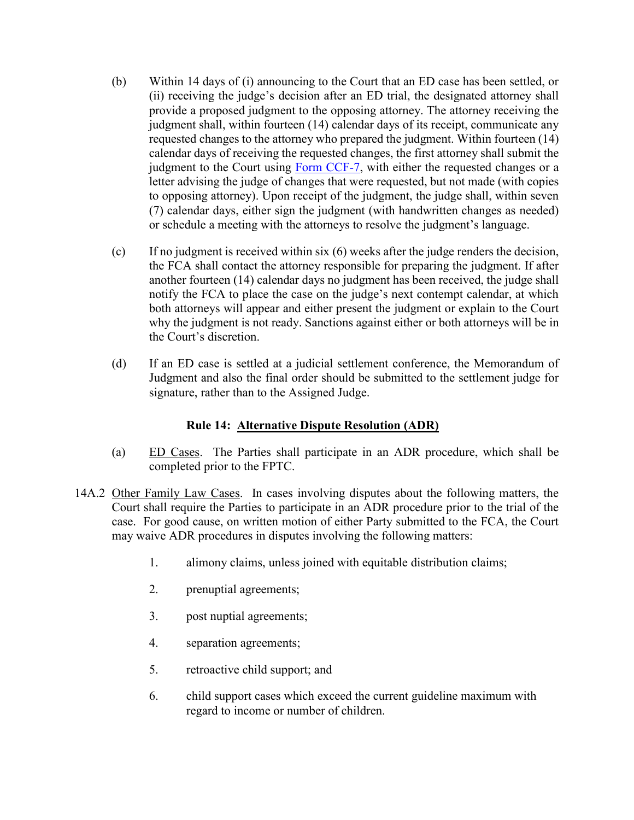- (b) Within 14 days of (i) announcing to the Court that an ED case has been settled, or (ii) receiving the judge's decision after an ED trial, the designated attorney shall provide a proposed judgment to the opposing attorney. The attorney receiving the judgment shall, within fourteen (14) calendar days of its receipt, communicate any requested changes to the attorney who prepared the judgment. Within fourteen (14) calendar days of receiving the requested changes, the first attorney shall submit the judgment to the Court using [Form CCF-7,](http://www.nccourts.org/Courts/CRS/Policies/LocalRules/Documents/364.pdf) with either the requested changes or a letter advising the judge of changes that were requested, but not made (with copies to opposing attorney). Upon receipt of the judgment, the judge shall, within seven (7) calendar days, either sign the judgment (with handwritten changes as needed) or schedule a meeting with the attorneys to resolve the judgment's language.
- (c) If no judgment is received within six (6) weeks after the judge renders the decision, the FCA shall contact the attorney responsible for preparing the judgment. If after another fourteen (14) calendar days no judgment has been received, the judge shall notify the FCA to place the case on the judge's next contempt calendar, at which both attorneys will appear and either present the judgment or explain to the Court why the judgment is not ready. Sanctions against either or both attorneys will be in the Court's discretion.
- (d) If an ED case is settled at a judicial settlement conference, the Memorandum of Judgment and also the final order should be submitted to the settlement judge for signature, rather than to the Assigned Judge.

## **Rule 14: Alternative Dispute Resolution (ADR)**

- (a) ED Cases. The Parties shall participate in an ADR procedure, which shall be completed prior to the FPTC.
- 14A.2 Other Family Law Cases. In cases involving disputes about the following matters, the Court shall require the Parties to participate in an ADR procedure prior to the trial of the case. For good cause, on written motion of either Party submitted to the FCA, the Court may waive ADR procedures in disputes involving the following matters:
	- 1. alimony claims, unless joined with equitable distribution claims;
	- 2. prenuptial agreements;
	- 3. post nuptial agreements;
	- 4. separation agreements;
	- 5. retroactive child support; and
	- 6. child support cases which exceed the current guideline maximum with regard to income or number of children.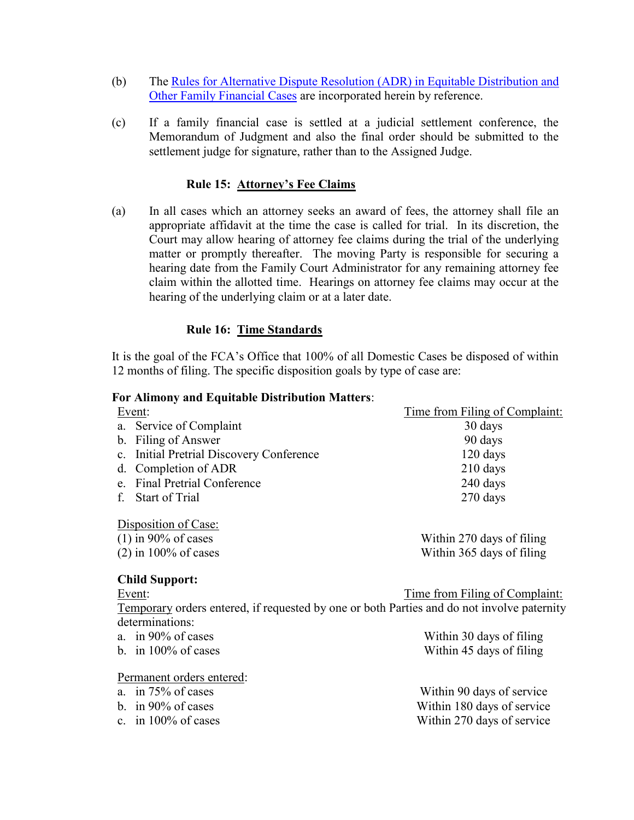- (b) The [Rules for Alternative Dispute Resolution \(ADR\) in Equitable Distribution and](http://www.nccourts.org/Courts/CRS/Policies/LocalRules/Documents/292.pdf)  [Other Family Financial Cases](http://www.nccourts.org/Courts/CRS/Policies/LocalRules/Documents/292.pdf) are incorporated herein by reference.
- (c) If a family financial case is settled at a judicial settlement conference, the Memorandum of Judgment and also the final order should be submitted to the settlement judge for signature, rather than to the Assigned Judge.

#### **Rule 15: Attorney's Fee Claims**

(a) In all cases which an attorney seeks an award of fees, the attorney shall file an appropriate affidavit at the time the case is called for trial. In its discretion, the Court may allow hearing of attorney fee claims during the trial of the underlying matter or promptly thereafter. The moving Party is responsible for securing a hearing date from the Family Court Administrator for any remaining attorney fee claim within the allotted time. Hearings on attorney fee claims may occur at the hearing of the underlying claim or at a later date.

#### **Rule 16: Time Standards**

It is the goal of the FCA's Office that 100% of all Domestic Cases be disposed of within 12 months of filing. The specific disposition goals by type of case are:

#### **For Alimony and Equitable Distribution Matters**:

| Event:                                                                                     | Time from Filing of Complaint: |  |
|--------------------------------------------------------------------------------------------|--------------------------------|--|
| Service of Complaint<br>a.                                                                 | 30 days                        |  |
| b. Filing of Answer                                                                        | 90 days                        |  |
| c. Initial Pretrial Discovery Conference                                                   | $120$ days                     |  |
| d. Completion of ADR                                                                       | $210$ days                     |  |
| <b>Final Pretrial Conference</b><br>e                                                      | 240 days                       |  |
| <b>Start of Trial</b><br>f.                                                                | $270$ days                     |  |
| Disposition of Case:                                                                       |                                |  |
| $(1)$ in 90% of cases                                                                      | Within 270 days of filing      |  |
| $(2)$ in 100% of cases                                                                     | Within 365 days of filing      |  |
| <b>Child Support:</b>                                                                      |                                |  |
| Event:                                                                                     | Time from Filing of Complaint: |  |
| Temporary orders entered, if requested by one or both Parties and do not involve paternity |                                |  |
| determinations:                                                                            |                                |  |
| a. in $90\%$ of cases                                                                      | Within 30 days of filing       |  |
| b. in $100\%$ of cases                                                                     | Within 45 days of filing       |  |
| Permanent orders entered:                                                                  |                                |  |
| a. in $75\%$ of cases                                                                      | Within 90 days of service      |  |
| b. in $90\%$ of cases                                                                      | Within 180 days of service     |  |

c. in 100% of cases Within 270 days of service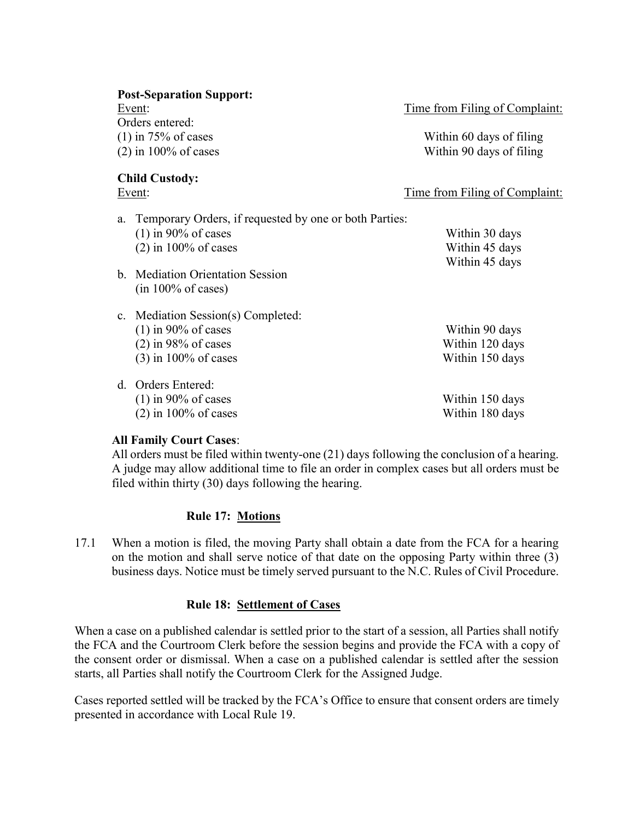|    | <b>Post-Separation Support:</b><br>Event:<br>Orders entered:<br>$(1)$ in 75% of cases<br>$(2)$ in 100% of cases | Time from Filing of Complaint:<br>Within 60 days of filing<br>Within 90 days of filing |
|----|-----------------------------------------------------------------------------------------------------------------|----------------------------------------------------------------------------------------|
|    | <b>Child Custody:</b><br>Event:                                                                                 | <u>Time from Filing of Complaint:</u>                                                  |
| a. | Temporary Orders, if requested by one or both Parties:<br>$(1)$ in 90% of cases<br>$(2)$ in 100% of cases       | Within 30 days<br>Within 45 days<br>Within 45 days                                     |
|    | b. Mediation Orientation Session<br>$(in 100\% \text{ of cases})$                                               |                                                                                        |
|    | c. Mediation Session(s) Completed:<br>$(1)$ in 90% of cases<br>$(2)$ in 98% of cases<br>$(3)$ in 100% of cases  | Within 90 days<br>Within 120 days<br>Within 150 days                                   |
|    | d. Orders Entered:<br>$(1)$ in 90% of cases<br>$(2)$ in 100% of cases                                           | Within 150 days<br>Within 180 days                                                     |

## **All Family Court Cases**:

All orders must be filed within twenty-one (21) days following the conclusion of a hearing. A judge may allow additional time to file an order in complex cases but all orders must be filed within thirty (30) days following the hearing.

# **Rule 17: Motions**

17.1 When a motion is filed, the moving Party shall obtain a date from the FCA for a hearing on the motion and shall serve notice of that date on the opposing Party within three (3) business days. Notice must be timely served pursuant to the N.C. Rules of Civil Procedure.

# **Rule 18: Settlement of Cases**

When a case on a published calendar is settled prior to the start of a session, all Parties shall notify the FCA and the Courtroom Clerk before the session begins and provide the FCA with a copy of the consent order or dismissal. When a case on a published calendar is settled after the session starts, all Parties shall notify the Courtroom Clerk for the Assigned Judge.

Cases reported settled will be tracked by the FCA's Office to ensure that consent orders are timely presented in accordance with Local Rule 19.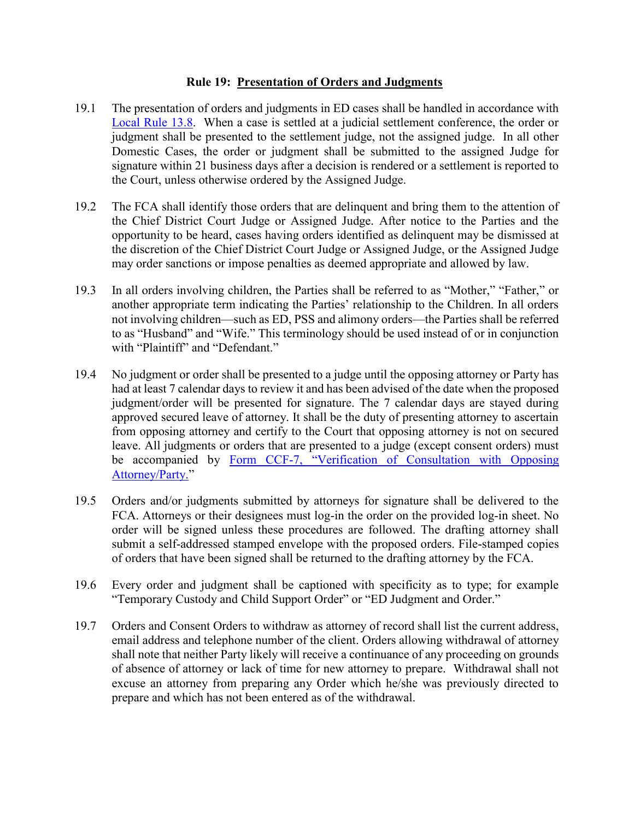#### **Rule 19: Presentation of Orders and Judgments**

- 19.1 The presentation of orders and judgments in ED cases shall be handled in accordance with [Local Rule 13.8.](file:///C:/Users/iaptmt/AppData/Local/Microsoft/Windows/Temporary%20Internet%20Files/Content.Outlook/E54J69DD/2013-06-04%20Local%20Rules%20Final%20(2).docx%23Rule13) When a case is settled at a judicial settlement conference, the order or judgment shall be presented to the settlement judge, not the assigned judge. In all other Domestic Cases, the order or judgment shall be submitted to the assigned Judge for signature within 21 business days after a decision is rendered or a settlement is reported to the Court, unless otherwise ordered by the Assigned Judge.
- 19.2 The FCA shall identify those orders that are delinquent and bring them to the attention of the Chief District Court Judge or Assigned Judge. After notice to the Parties and the opportunity to be heard, cases having orders identified as delinquent may be dismissed at the discretion of the Chief District Court Judge or Assigned Judge, or the Assigned Judge may order sanctions or impose penalties as deemed appropriate and allowed by law.
- 19.3 In all orders involving children, the Parties shall be referred to as "Mother," "Father," or another appropriate term indicating the Parties' relationship to the Children. In all orders not involving children—such as ED, PSS and alimony orders—the Parties shall be referred to as "Husband" and "Wife." This terminology should be used instead of or in conjunction with "Plaintiff" and "Defendant."
- 19.4 No judgment or order shall be presented to a judge until the opposing attorney or Party has had at least 7 calendar days to review it and has been advised of the date when the proposed judgment/order will be presented for signature. The 7 calendar days are stayed during approved secured leave of attorney. It shall be the duty of presenting attorney to ascertain from opposing attorney and certify to the Court that opposing attorney is not on secured leave. All judgments or orders that are presented to a judge (except consent orders) must be accompanied by Form CCF-[7, "Verification of Consultation with Opposing](http://www.nccourts.org/Courts/CRS/Policies/LocalRules/Documents/364.pdf)  [Attorney/Party.](http://www.nccourts.org/Courts/CRS/Policies/LocalRules/Documents/364.pdf)"
- 19.5 Orders and/or judgments submitted by attorneys for signature shall be delivered to the FCA. Attorneys or their designees must log-in the order on the provided log-in sheet. No order will be signed unless these procedures are followed. The drafting attorney shall submit a self-addressed stamped envelope with the proposed orders. File-stamped copies of orders that have been signed shall be returned to the drafting attorney by the FCA.
- 19.6 Every order and judgment shall be captioned with specificity as to type; for example "Temporary Custody and Child Support Order" or "ED Judgment and Order."
- 19.7 Orders and Consent Orders to withdraw as attorney of record shall list the current address, email address and telephone number of the client. Orders allowing withdrawal of attorney shall note that neither Party likely will receive a continuance of any proceeding on grounds of absence of attorney or lack of time for new attorney to prepare. Withdrawal shall not excuse an attorney from preparing any Order which he/she was previously directed to prepare and which has not been entered as of the withdrawal.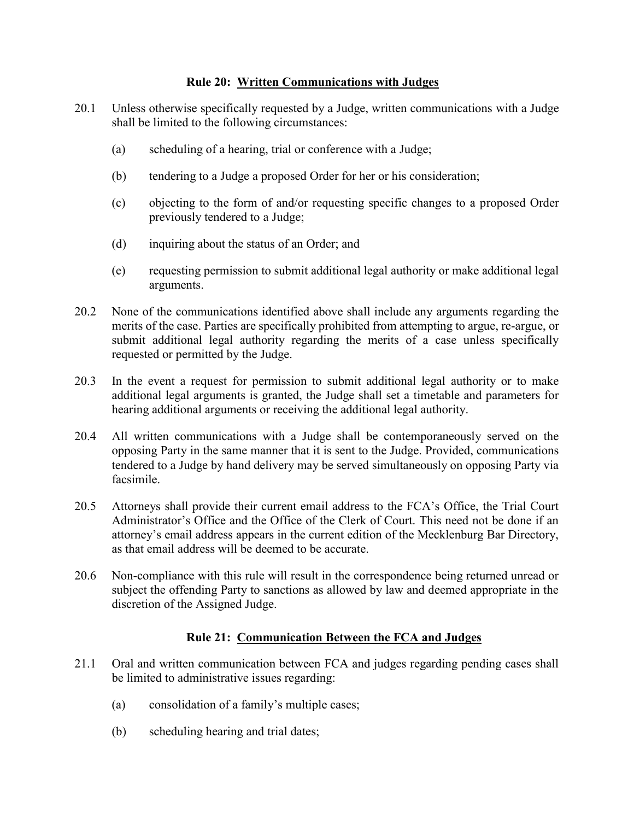#### **Rule 20: Written Communications with Judges**

- 20.1 Unless otherwise specifically requested by a Judge, written communications with a Judge shall be limited to the following circumstances:
	- (a) scheduling of a hearing, trial or conference with a Judge;
	- (b) tendering to a Judge a proposed Order for her or his consideration;
	- (c) objecting to the form of and/or requesting specific changes to a proposed Order previously tendered to a Judge;
	- (d) inquiring about the status of an Order; and
	- (e) requesting permission to submit additional legal authority or make additional legal arguments.
- 20.2 None of the communications identified above shall include any arguments regarding the merits of the case. Parties are specifically prohibited from attempting to argue, re-argue, or submit additional legal authority regarding the merits of a case unless specifically requested or permitted by the Judge.
- 20.3 In the event a request for permission to submit additional legal authority or to make additional legal arguments is granted, the Judge shall set a timetable and parameters for hearing additional arguments or receiving the additional legal authority.
- 20.4 All written communications with a Judge shall be contemporaneously served on the opposing Party in the same manner that it is sent to the Judge. Provided, communications tendered to a Judge by hand delivery may be served simultaneously on opposing Party via facsimile.
- 20.5 Attorneys shall provide their current email address to the FCA's Office, the Trial Court Administrator's Office and the Office of the Clerk of Court. This need not be done if an attorney's email address appears in the current edition of the Mecklenburg Bar Directory, as that email address will be deemed to be accurate.
- 20.6 Non-compliance with this rule will result in the correspondence being returned unread or subject the offending Party to sanctions as allowed by law and deemed appropriate in the discretion of the Assigned Judge.

## **Rule 21: Communication Between the FCA and Judges**

- 21.1 Oral and written communication between FCA and judges regarding pending cases shall be limited to administrative issues regarding:
	- (a) consolidation of a family's multiple cases;
	- (b) scheduling hearing and trial dates;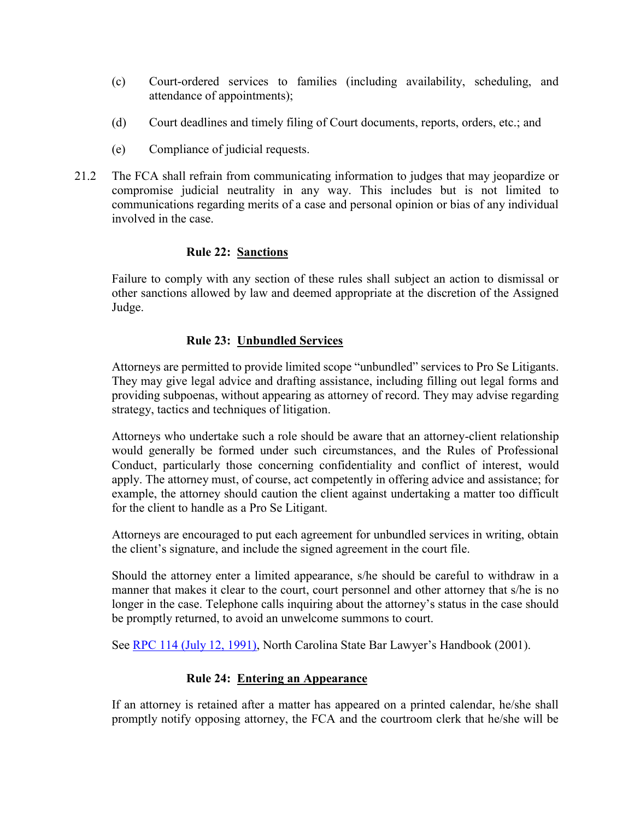- (c) Court-ordered services to families (including availability, scheduling, and attendance of appointments);
- (d) Court deadlines and timely filing of Court documents, reports, orders, etc.; and
- (e) Compliance of judicial requests.
- 21.2 The FCA shall refrain from communicating information to judges that may jeopardize or compromise judicial neutrality in any way. This includes but is not limited to communications regarding merits of a case and personal opinion or bias of any individual involved in the case.

## **Rule 22: Sanctions**

Failure to comply with any section of these rules shall subject an action to dismissal or other sanctions allowed by law and deemed appropriate at the discretion of the Assigned Judge.

## **Rule 23: Unbundled Services**

Attorneys are permitted to provide limited scope "unbundled" services to Pro Se Litigants. They may give legal advice and drafting assistance, including filling out legal forms and providing subpoenas, without appearing as attorney of record. They may advise regarding strategy, tactics and techniques of litigation.

Attorneys who undertake such a role should be aware that an attorney-client relationship would generally be formed under such circumstances, and the Rules of Professional Conduct, particularly those concerning confidentiality and conflict of interest, would apply. The attorney must, of course, act competently in offering advice and assistance; for example, the attorney should caution the client against undertaking a matter too difficult for the client to handle as a Pro Se Litigant.

Attorneys are encouraged to put each agreement for unbundled services in writing, obtain the client's signature, and include the signed agreement in the court file.

Should the attorney enter a limited appearance, s/he should be careful to withdraw in a manner that makes it clear to the court, court personnel and other attorney that s/he is no longer in the case. Telephone calls inquiring about the attorney's status in the case should be promptly returned, to avoid an unwelcome summons to court.

See [RPC 114 \(July 12, 1991\)](http://www.ncbar.com/ethics/ethics.asp?page=19&from=1/1991&to=12/1991), North Carolina State Bar Lawyer's Handbook (2001).

## **Rule 24: Entering an Appearance**

If an attorney is retained after a matter has appeared on a printed calendar, he/she shall promptly notify opposing attorney, the FCA and the courtroom clerk that he/she will be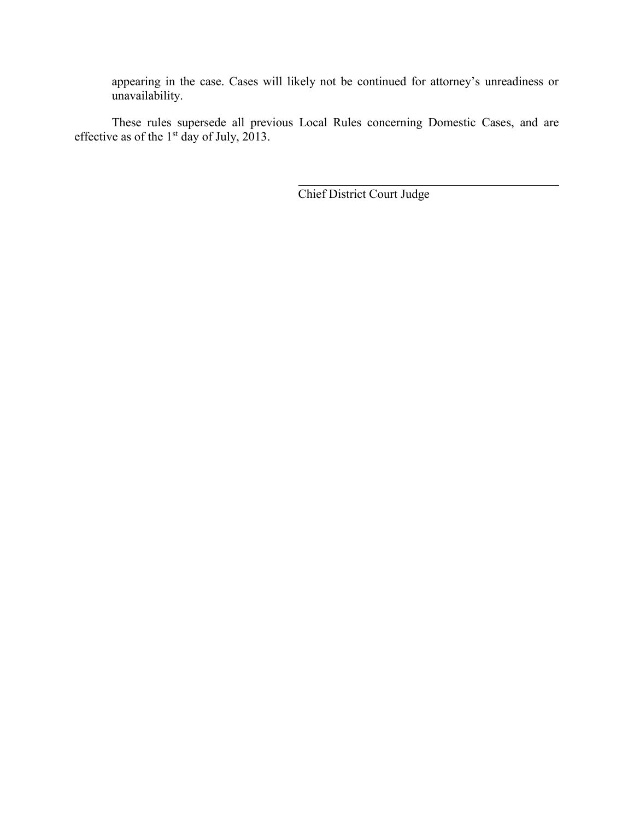appearing in the case. Cases will likely not be continued for attorney's unreadiness or unavailability.

These rules supersede all previous Local Rules concerning Domestic Cases, and are effective as of the  $1<sup>st</sup>$  day of July, 2013.

Chief District Court Judge